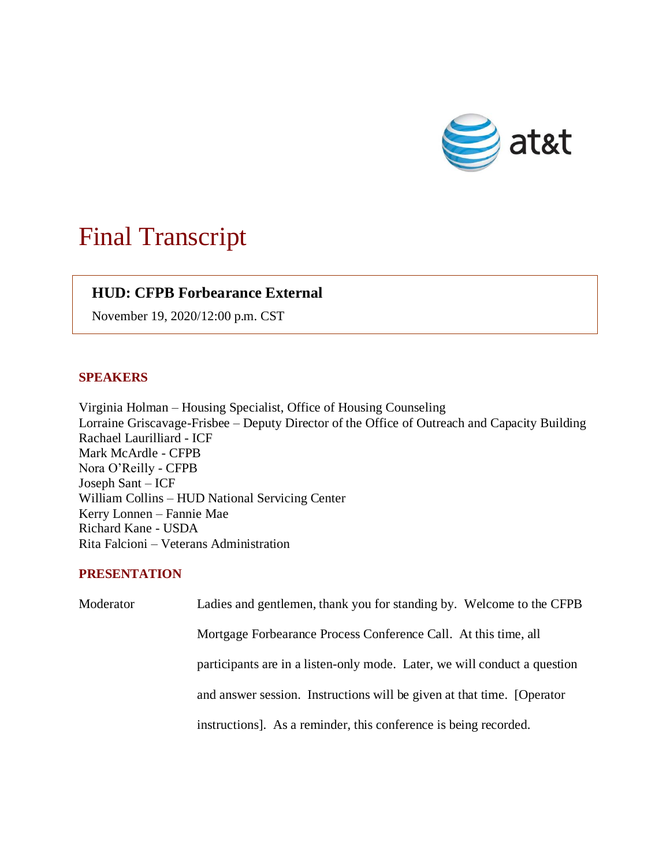

## Final Transcript

## **HUD: CFPB Forbearance External**

November 19, 2020/12:00 p.m. CST

## **SPEAKERS**

Virginia Holman – Housing Specialist, Office of Housing Counseling Lorraine Griscavage-Frisbee – Deputy Director of the Office of Outreach and Capacity Building Rachael Laurilliard - ICF Mark McArdle - CFPB Nora O'Reilly - CFPB Joseph Sant – ICF William Collins – HUD National Servicing Center Kerry Lonnen – Fannie Mae Richard Kane - USDA Rita Falcioni – Veterans Administration

## **PRESENTATION**

| Moderator | Ladies and gentlemen, thank you for standing by. Welcome to the CFPB      |
|-----------|---------------------------------------------------------------------------|
|           | Mortgage Forbearance Process Conference Call. At this time, all           |
|           | participants are in a listen-only mode. Later, we will conduct a question |
|           | and answer session. Instructions will be given at that time. [Operator    |
|           | instructions]. As a reminder, this conference is being recorded.          |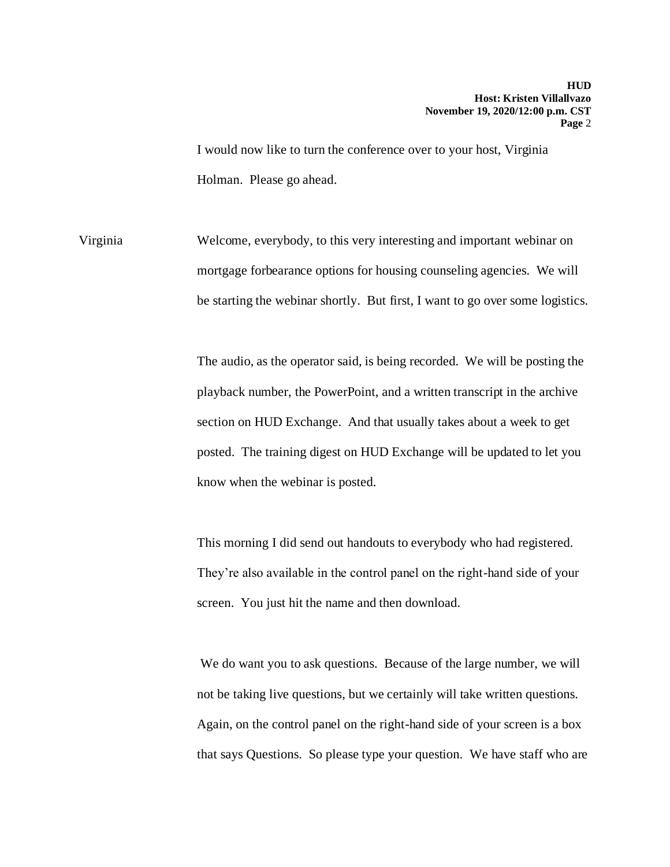I would now like to turn the conference over to your host, Virginia Holman. Please go ahead.

Virginia Welcome, everybody, to this very interesting and important webinar on mortgage forbearance options for housing counseling agencies. We will be starting the webinar shortly. But first, I want to go over some logistics.

> The audio, as the operator said, is being recorded. We will be posting the playback number, the PowerPoint, and a written transcript in the archive section on HUD Exchange. And that usually takes about a week to get posted. The training digest on HUD Exchange will be updated to let you know when the webinar is posted.

This morning I did send out handouts to everybody who had registered. They're also available in the control panel on the right-hand side of your screen. You just hit the name and then download.

We do want you to ask questions. Because of the large number, we will not be taking live questions, but we certainly will take written questions. Again, on the control panel on the right-hand side of your screen is a box that says Questions. So please type your question. We have staff who are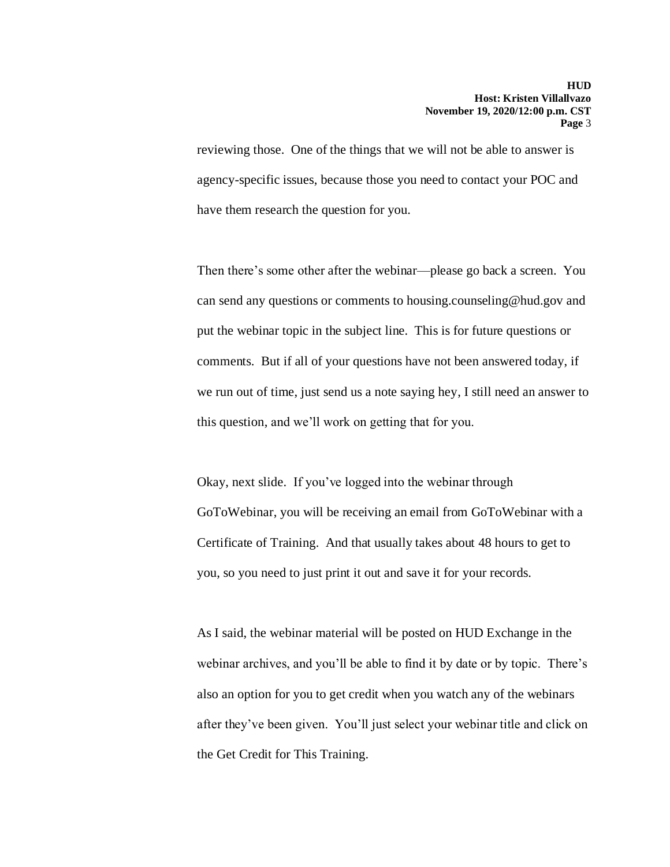reviewing those. One of the things that we will not be able to answer is agency-specific issues, because those you need to contact your POC and have them research the question for you.

Then there's some other after the webinar—please go back a screen. You can send any questions or comments to housing.counseling@hud.gov and put the webinar topic in the subject line. This is for future questions or comments. But if all of your questions have not been answered today, if we run out of time, just send us a note saying hey, I still need an answer to this question, and we'll work on getting that for you.

Okay, next slide. If you've logged into the webinar through GoToWebinar, you will be receiving an email from GoToWebinar with a Certificate of Training. And that usually takes about 48 hours to get to you, so you need to just print it out and save it for your records.

As I said, the webinar material will be posted on HUD Exchange in the webinar archives, and you'll be able to find it by date or by topic. There's also an option for you to get credit when you watch any of the webinars after they've been given. You'll just select your webinar title and click on the Get Credit for This Training.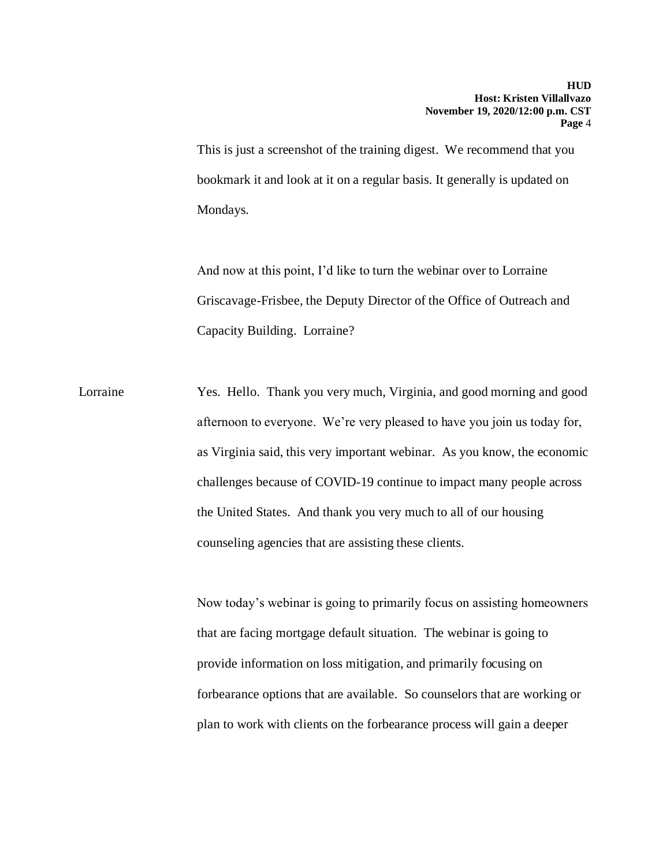This is just a screenshot of the training digest. We recommend that you bookmark it and look at it on a regular basis. It generally is updated on Mondays.

And now at this point, I'd like to turn the webinar over to Lorraine Griscavage-Frisbee, the Deputy Director of the Office of Outreach and Capacity Building. Lorraine?

Lorraine Yes. Hello. Thank you very much, Virginia, and good morning and good afternoon to everyone. We're very pleased to have you join us today for, as Virginia said, this very important webinar. As you know, the economic challenges because of COVID-19 continue to impact many people across the United States. And thank you very much to all of our housing counseling agencies that are assisting these clients.

> Now today's webinar is going to primarily focus on assisting homeowners that are facing mortgage default situation. The webinar is going to provide information on loss mitigation, and primarily focusing on forbearance options that are available. So counselors that are working or plan to work with clients on the forbearance process will gain a deeper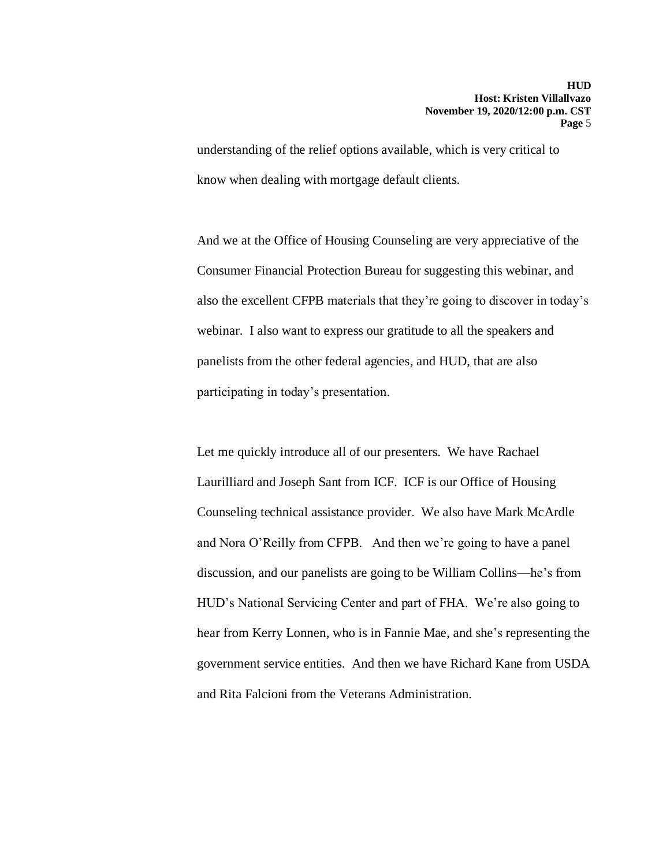understanding of the relief options available, which is very critical to know when dealing with mortgage default clients.

And we at the Office of Housing Counseling are very appreciative of the Consumer Financial Protection Bureau for suggesting this webinar, and also the excellent CFPB materials that they're going to discover in today's webinar. I also want to express our gratitude to all the speakers and panelists from the other federal agencies, and HUD, that are also participating in today's presentation.

Let me quickly introduce all of our presenters. We have Rachael Laurilliard and Joseph Sant from ICF. ICF is our Office of Housing Counseling technical assistance provider. We also have Mark McArdle and Nora O'Reilly from CFPB. And then we're going to have a panel discussion, and our panelists are going to be William Collins—he's from HUD's National Servicing Center and part of FHA. We're also going to hear from Kerry Lonnen, who is in Fannie Mae, and she's representing the government service entities. And then we have Richard Kane from USDA and Rita Falcioni from the Veterans Administration.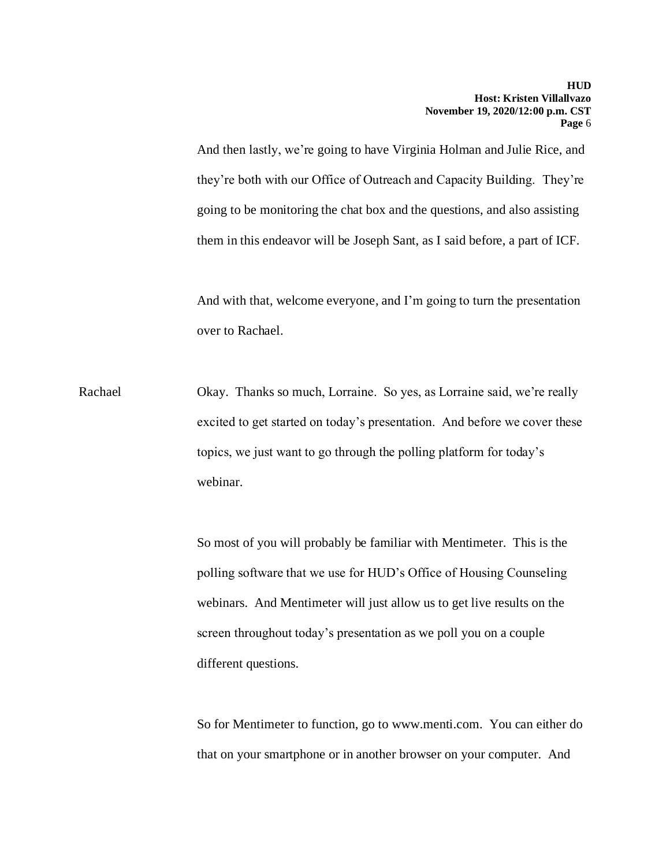And then lastly, we're going to have Virginia Holman and Julie Rice, and they're both with our Office of Outreach and Capacity Building. They're going to be monitoring the chat box and the questions, and also assisting them in this endeavor will be Joseph Sant, as I said before, a part of ICF.

And with that, welcome everyone, and I'm going to turn the presentation over to Rachael.

Rachael Okay. Thanks so much, Lorraine. So yes, as Lorraine said, we're really excited to get started on today's presentation. And before we cover these topics, we just want to go through the polling platform for today's webinar.

> So most of you will probably be familiar with Mentimeter. This is the polling software that we use for HUD's Office of Housing Counseling webinars. And Mentimeter will just allow us to get live results on the screen throughout today's presentation as we poll you on a couple different questions.

So for Mentimeter to function, go to www.menti.com. You can either do that on your smartphone or in another browser on your computer. And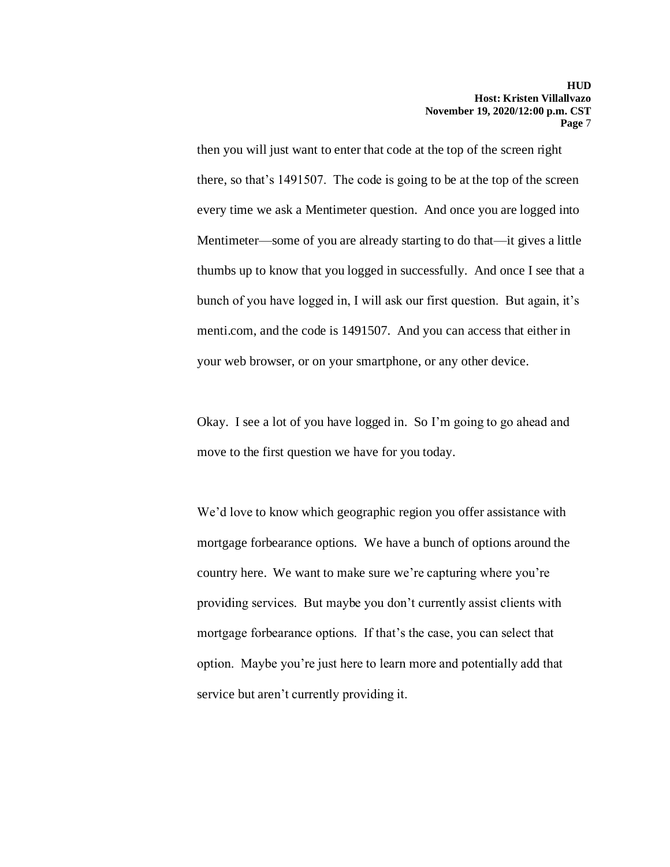then you will just want to enter that code at the top of the screen right there, so that's 1491507. The code is going to be at the top of the screen every time we ask a Mentimeter question. And once you are logged into Mentimeter—some of you are already starting to do that—it gives a little thumbs up to know that you logged in successfully. And once I see that a bunch of you have logged in, I will ask our first question. But again, it's menti.com, and the code is 1491507. And you can access that either in your web browser, or on your smartphone, or any other device.

Okay. I see a lot of you have logged in. So I'm going to go ahead and move to the first question we have for you today.

We'd love to know which geographic region you offer assistance with mortgage forbearance options. We have a bunch of options around the country here. We want to make sure we're capturing where you're providing services. But maybe you don't currently assist clients with mortgage forbearance options. If that's the case, you can select that option. Maybe you're just here to learn more and potentially add that service but aren't currently providing it.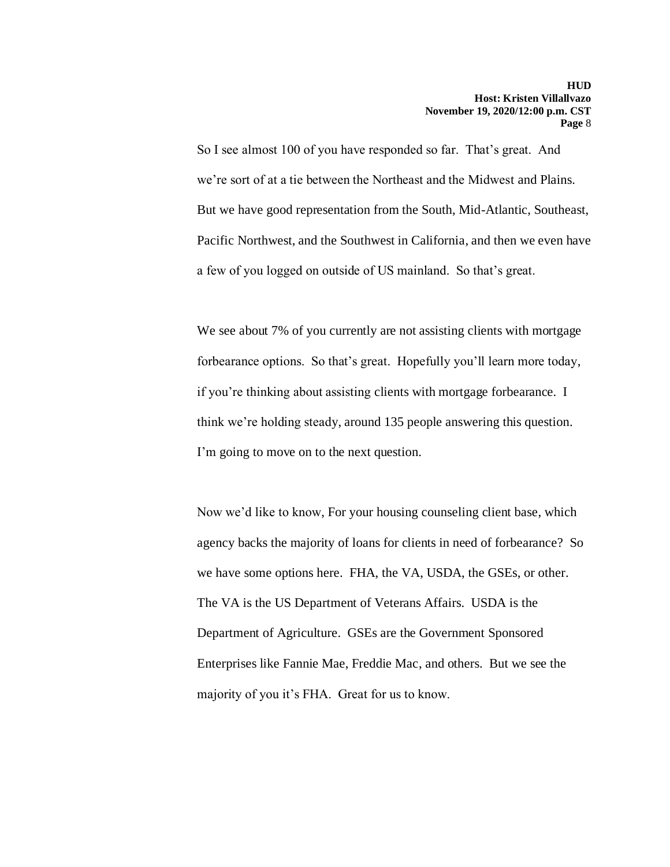So I see almost 100 of you have responded so far. That's great. And we're sort of at a tie between the Northeast and the Midwest and Plains. But we have good representation from the South, Mid-Atlantic, Southeast, Pacific Northwest, and the Southwest in California, and then we even have a few of you logged on outside of US mainland. So that's great.

We see about 7% of you currently are not assisting clients with mortgage forbearance options. So that's great. Hopefully you'll learn more today, if you're thinking about assisting clients with mortgage forbearance. I think we're holding steady, around 135 people answering this question. I'm going to move on to the next question.

Now we'd like to know, For your housing counseling client base, which agency backs the majority of loans for clients in need of forbearance? So we have some options here. FHA, the VA, USDA, the GSEs, or other. The VA is the US Department of Veterans Affairs. USDA is the Department of Agriculture. GSEs are the Government Sponsored Enterprises like Fannie Mae, Freddie Mac, and others. But we see the majority of you it's FHA. Great for us to know.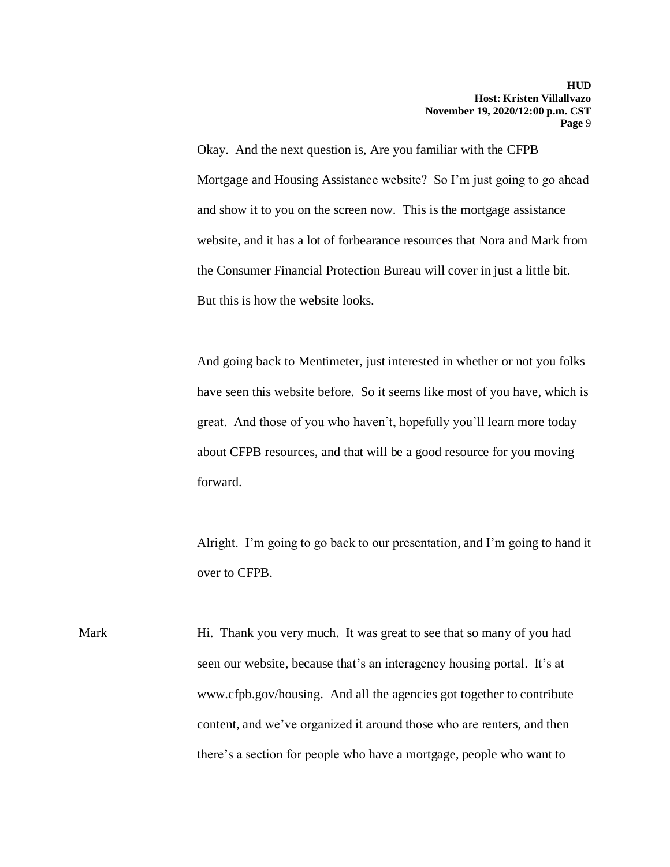Okay. And the next question is, Are you familiar with the CFPB Mortgage and Housing Assistance website? So I'm just going to go ahead and show it to you on the screen now. This is the mortgage assistance website, and it has a lot of forbearance resources that Nora and Mark from the Consumer Financial Protection Bureau will cover in just a little bit. But this is how the website looks.

And going back to Mentimeter, just interested in whether or not you folks have seen this website before. So it seems like most of you have, which is great. And those of you who haven't, hopefully you'll learn more today about CFPB resources, and that will be a good resource for you moving forward.

Alright. I'm going to go back to our presentation, and I'm going to hand it over to CFPB.

Mark Hi. Thank you very much. It was great to see that so many of you had seen our website, because that's an interagency housing portal. It's at www.cfpb.gov/housing. And all the agencies got together to contribute content, and we've organized it around those who are renters, and then there's a section for people who have a mortgage, people who want to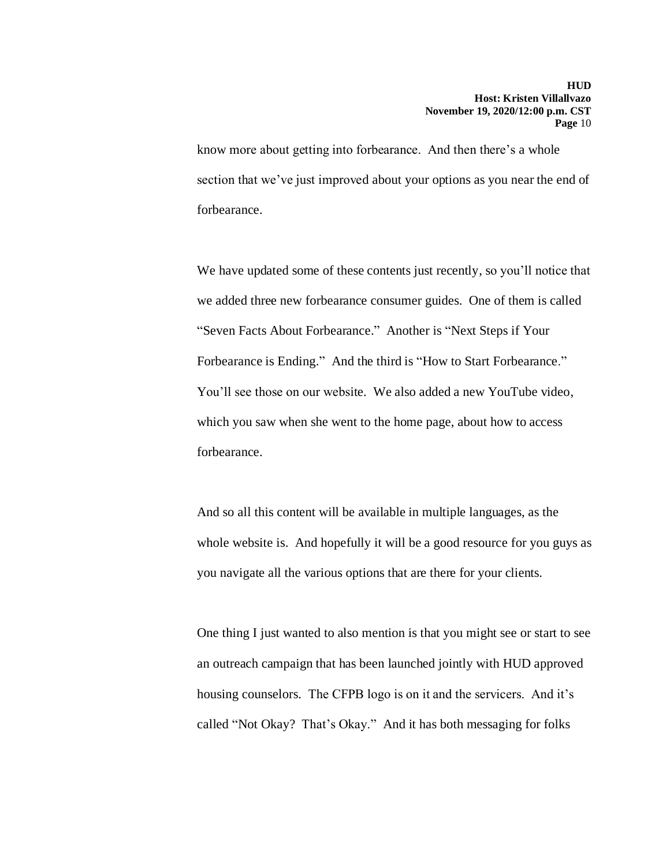know more about getting into forbearance. And then there's a whole section that we've just improved about your options as you near the end of forbearance.

We have updated some of these contents just recently, so you'll notice that we added three new forbearance consumer guides. One of them is called "Seven Facts About Forbearance." Another is "Next Steps if Your Forbearance is Ending." And the third is "How to Start Forbearance." You'll see those on our website. We also added a new YouTube video, which you saw when she went to the home page, about how to access forbearance.

And so all this content will be available in multiple languages, as the whole website is. And hopefully it will be a good resource for you guys as you navigate all the various options that are there for your clients.

One thing I just wanted to also mention is that you might see or start to see an outreach campaign that has been launched jointly with HUD approved housing counselors. The CFPB logo is on it and the servicers. And it's called "Not Okay? That's Okay." And it has both messaging for folks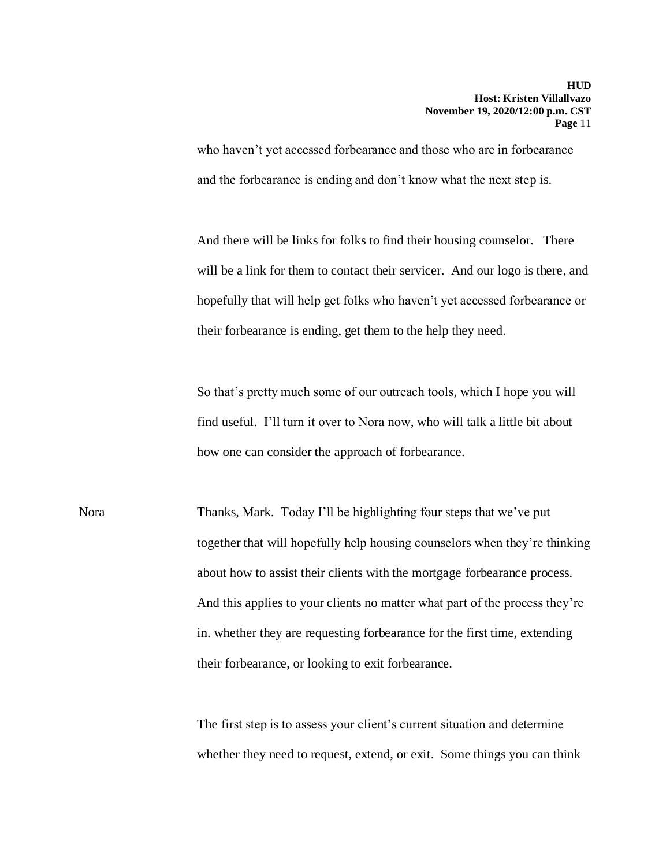who haven't yet accessed forbearance and those who are in forbearance and the forbearance is ending and don't know what the next step is.

And there will be links for folks to find their housing counselor. There will be a link for them to contact their servicer. And our logo is there, and hopefully that will help get folks who haven't yet accessed forbearance or their forbearance is ending, get them to the help they need.

So that's pretty much some of our outreach tools, which I hope you will find useful. I'll turn it over to Nora now, who will talk a little bit about how one can consider the approach of forbearance.

Nora Thanks, Mark. Today I'll be highlighting four steps that we've put together that will hopefully help housing counselors when they're thinking about how to assist their clients with the mortgage forbearance process. And this applies to your clients no matter what part of the process they're in. whether they are requesting forbearance for the first time, extending their forbearance, or looking to exit forbearance.

> The first step is to assess your client's current situation and determine whether they need to request, extend, or exit. Some things you can think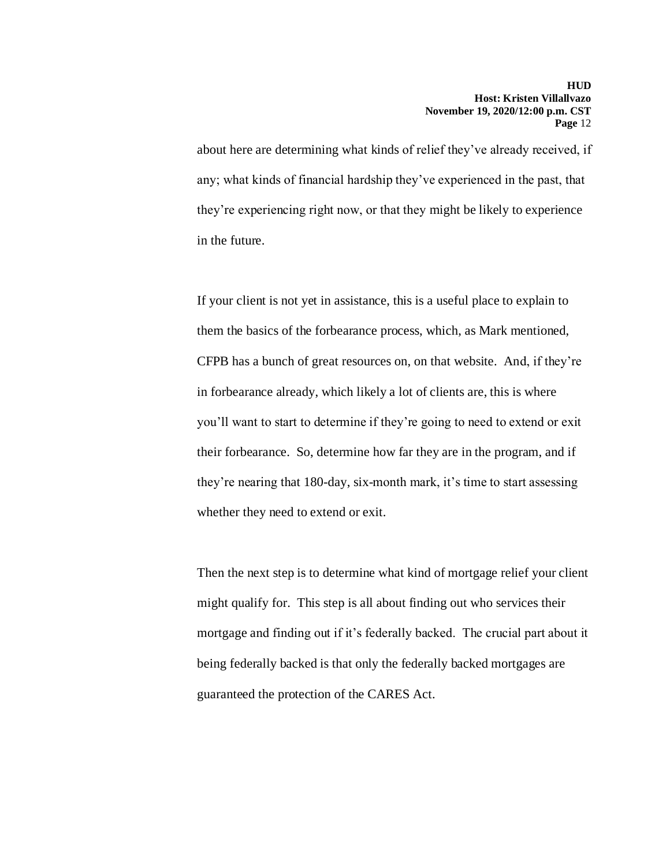about here are determining what kinds of relief they've already received, if any; what kinds of financial hardship they've experienced in the past, that they're experiencing right now, or that they might be likely to experience in the future.

If your client is not yet in assistance, this is a useful place to explain to them the basics of the forbearance process, which, as Mark mentioned, CFPB has a bunch of great resources on, on that website. And, if they're in forbearance already, which likely a lot of clients are, this is where you'll want to start to determine if they're going to need to extend or exit their forbearance. So, determine how far they are in the program, and if they're nearing that 180-day, six-month mark, it's time to start assessing whether they need to extend or exit.

Then the next step is to determine what kind of mortgage relief your client might qualify for. This step is all about finding out who services their mortgage and finding out if it's federally backed. The crucial part about it being federally backed is that only the federally backed mortgages are guaranteed the protection of the CARES Act.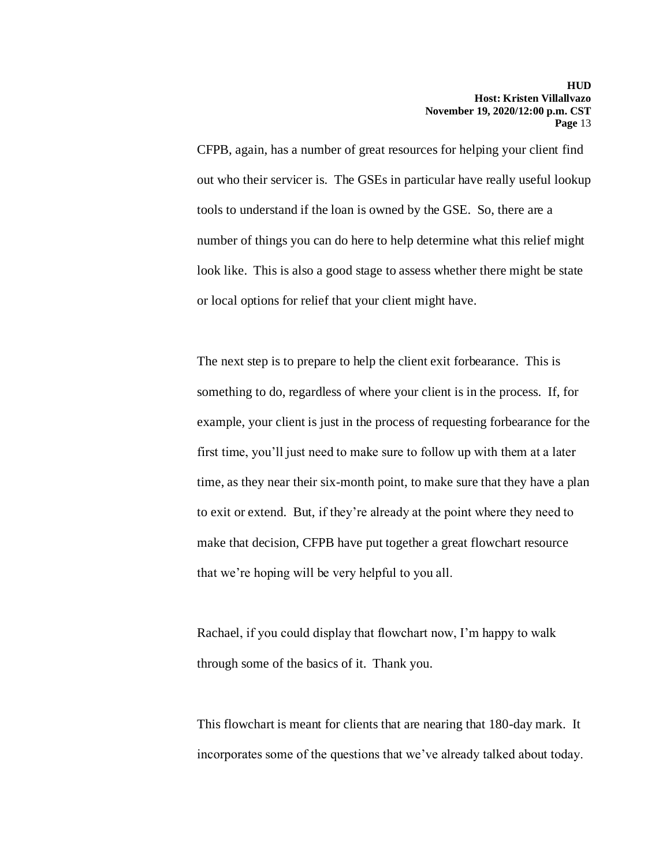CFPB, again, has a number of great resources for helping your client find out who their servicer is. The GSEs in particular have really useful lookup tools to understand if the loan is owned by the GSE. So, there are a number of things you can do here to help determine what this relief might look like. This is also a good stage to assess whether there might be state or local options for relief that your client might have.

The next step is to prepare to help the client exit forbearance. This is something to do, regardless of where your client is in the process. If, for example, your client is just in the process of requesting forbearance for the first time, you'll just need to make sure to follow up with them at a later time, as they near their six-month point, to make sure that they have a plan to exit or extend. But, if they're already at the point where they need to make that decision, CFPB have put together a great flowchart resource that we're hoping will be very helpful to you all.

Rachael, if you could display that flowchart now, I'm happy to walk through some of the basics of it. Thank you.

This flowchart is meant for clients that are nearing that 180-day mark. It incorporates some of the questions that we've already talked about today.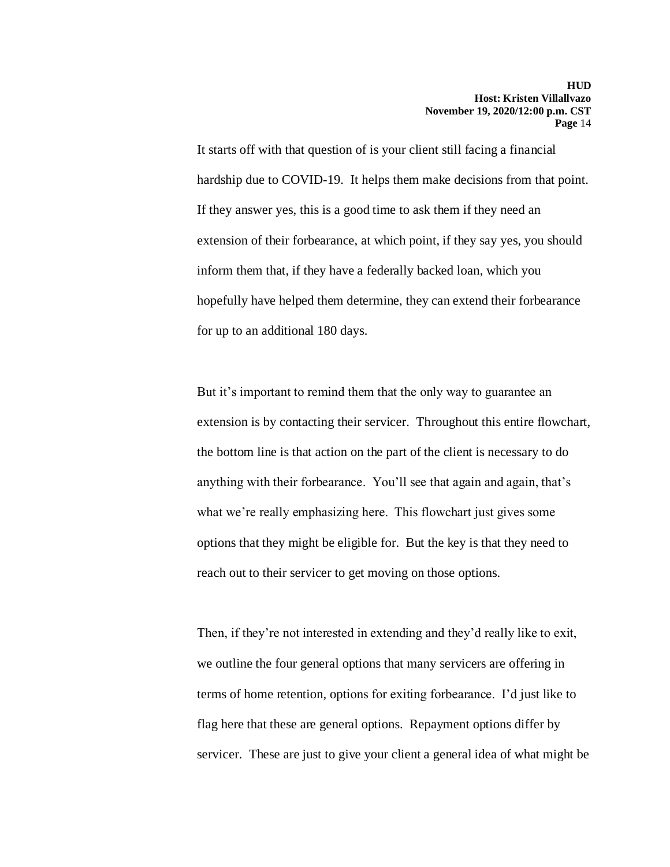It starts off with that question of is your client still facing a financial hardship due to COVID-19. It helps them make decisions from that point. If they answer yes, this is a good time to ask them if they need an extension of their forbearance, at which point, if they say yes, you should inform them that, if they have a federally backed loan, which you hopefully have helped them determine, they can extend their forbearance for up to an additional 180 days.

But it's important to remind them that the only way to guarantee an extension is by contacting their servicer. Throughout this entire flowchart, the bottom line is that action on the part of the client is necessary to do anything with their forbearance. You'll see that again and again, that's what we're really emphasizing here. This flowchart just gives some options that they might be eligible for. But the key is that they need to reach out to their servicer to get moving on those options.

Then, if they're not interested in extending and they'd really like to exit, we outline the four general options that many servicers are offering in terms of home retention, options for exiting forbearance. I'd just like to flag here that these are general options. Repayment options differ by servicer. These are just to give your client a general idea of what might be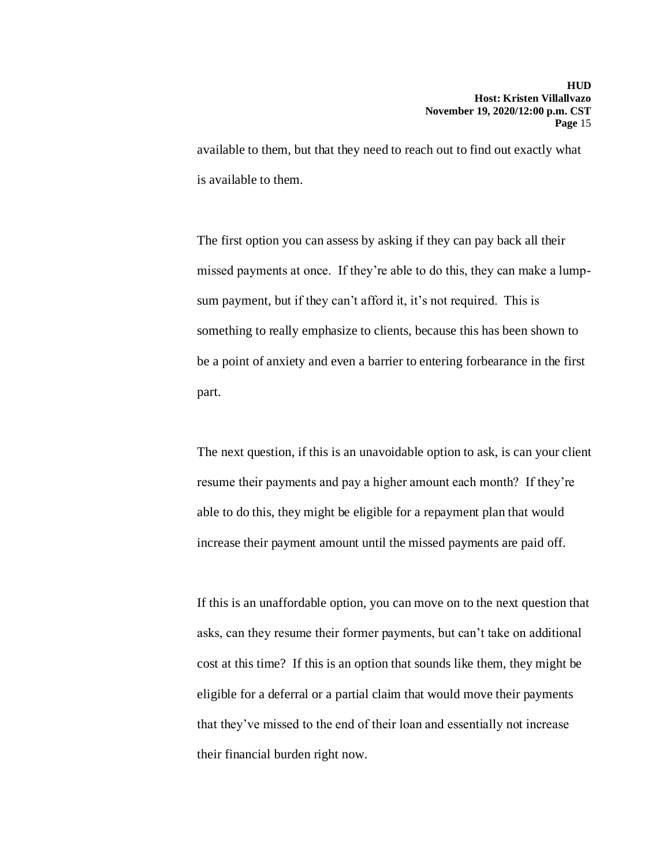available to them, but that they need to reach out to find out exactly what is available to them.

The first option you can assess by asking if they can pay back all their missed payments at once. If they're able to do this, they can make a lumpsum payment, but if they can't afford it, it's not required. This is something to really emphasize to clients, because this has been shown to be a point of anxiety and even a barrier to entering forbearance in the first part.

The next question, if this is an unavoidable option to ask, is can your client resume their payments and pay a higher amount each month? If they're able to do this, they might be eligible for a repayment plan that would increase their payment amount until the missed payments are paid off.

If this is an unaffordable option, you can move on to the next question that asks, can they resume their former payments, but can't take on additional cost at this time? If this is an option that sounds like them, they might be eligible for a deferral or a partial claim that would move their payments that they've missed to the end of their loan and essentially not increase their financial burden right now.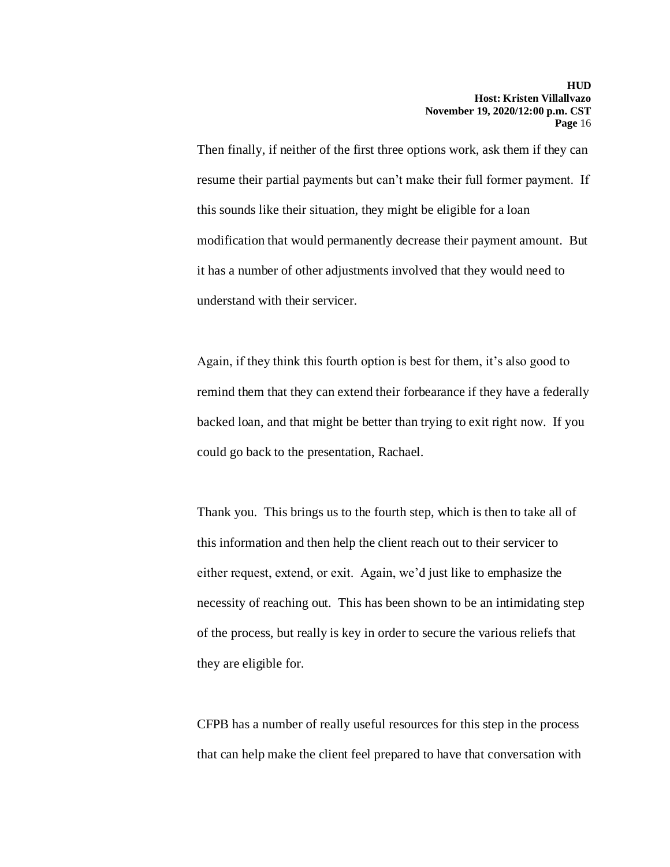Then finally, if neither of the first three options work, ask them if they can resume their partial payments but can't make their full former payment. If this sounds like their situation, they might be eligible for a loan modification that would permanently decrease their payment amount. But it has a number of other adjustments involved that they would need to understand with their servicer.

Again, if they think this fourth option is best for them, it's also good to remind them that they can extend their forbearance if they have a federally backed loan, and that might be better than trying to exit right now. If you could go back to the presentation, Rachael.

Thank you. This brings us to the fourth step, which is then to take all of this information and then help the client reach out to their servicer to either request, extend, or exit. Again, we'd just like to emphasize the necessity of reaching out. This has been shown to be an intimidating step of the process, but really is key in order to secure the various reliefs that they are eligible for.

CFPB has a number of really useful resources for this step in the process that can help make the client feel prepared to have that conversation with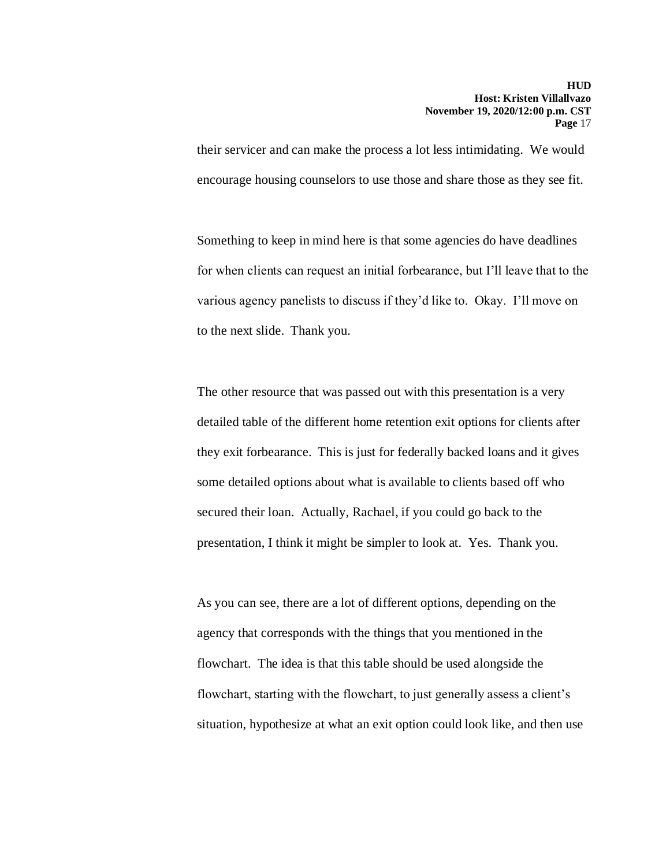their servicer and can make the process a lot less intimidating. We would encourage housing counselors to use those and share those as they see fit.

Something to keep in mind here is that some agencies do have deadlines for when clients can request an initial forbearance, but I'll leave that to the various agency panelists to discuss if they'd like to. Okay. I'll move on to the next slide. Thank you.

The other resource that was passed out with this presentation is a very detailed table of the different home retention exit options for clients after they exit forbearance. This is just for federally backed loans and it gives some detailed options about what is available to clients based off who secured their loan. Actually, Rachael, if you could go back to the presentation, I think it might be simpler to look at. Yes. Thank you.

As you can see, there are a lot of different options, depending on the agency that corresponds with the things that you mentioned in the flowchart. The idea is that this table should be used alongside the flowchart, starting with the flowchart, to just generally assess a client's situation, hypothesize at what an exit option could look like, and then use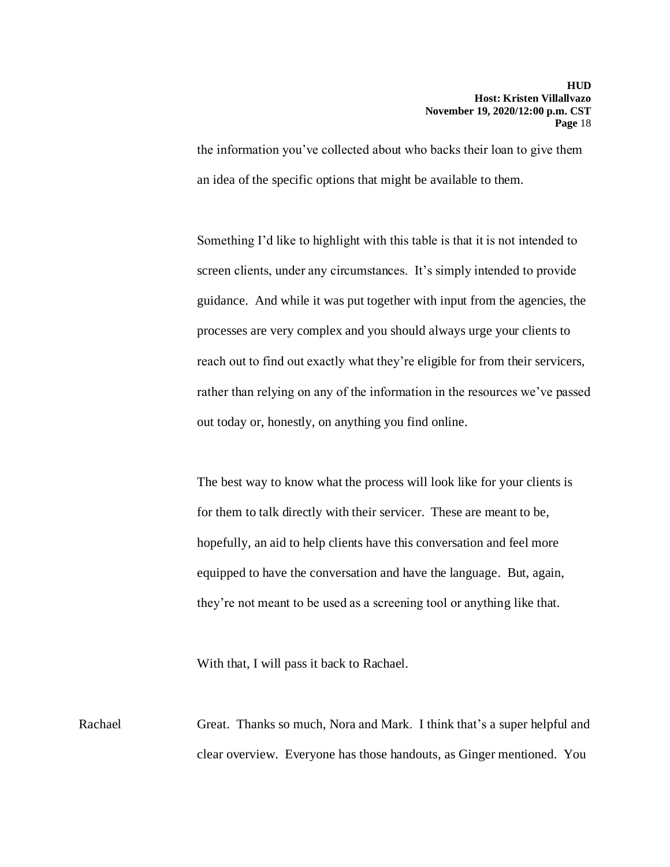the information you've collected about who backs their loan to give them an idea of the specific options that might be available to them.

Something I'd like to highlight with this table is that it is not intended to screen clients, under any circumstances. It's simply intended to provide guidance. And while it was put together with input from the agencies, the processes are very complex and you should always urge your clients to reach out to find out exactly what they're eligible for from their servicers, rather than relying on any of the information in the resources we've passed out today or, honestly, on anything you find online.

The best way to know what the process will look like for your clients is for them to talk directly with their servicer. These are meant to be, hopefully, an aid to help clients have this conversation and feel more equipped to have the conversation and have the language. But, again, they're not meant to be used as a screening tool or anything like that.

With that, I will pass it back to Rachael.

Rachael Great. Thanks so much, Nora and Mark. I think that's a super helpful and clear overview. Everyone has those handouts, as Ginger mentioned. You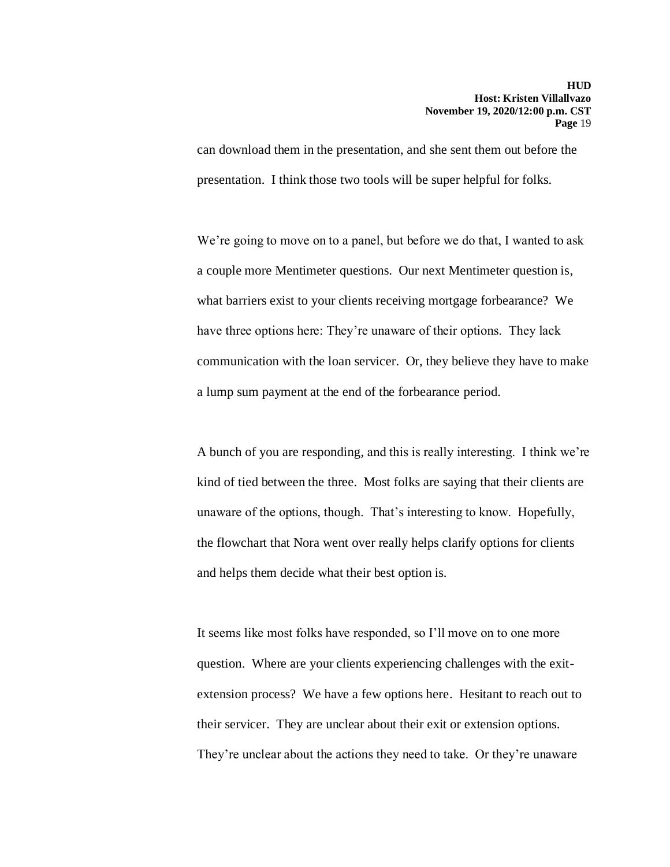can download them in the presentation, and she sent them out before the presentation. I think those two tools will be super helpful for folks.

We're going to move on to a panel, but before we do that, I wanted to ask a couple more Mentimeter questions. Our next Mentimeter question is, what barriers exist to your clients receiving mortgage forbearance? We have three options here: They're unaware of their options. They lack communication with the loan servicer. Or, they believe they have to make a lump sum payment at the end of the forbearance period.

A bunch of you are responding, and this is really interesting. I think we're kind of tied between the three. Most folks are saying that their clients are unaware of the options, though. That's interesting to know. Hopefully, the flowchart that Nora went over really helps clarify options for clients and helps them decide what their best option is.

It seems like most folks have responded, so I'll move on to one more question. Where are your clients experiencing challenges with the exitextension process? We have a few options here. Hesitant to reach out to their servicer. They are unclear about their exit or extension options. They're unclear about the actions they need to take. Or they're unaware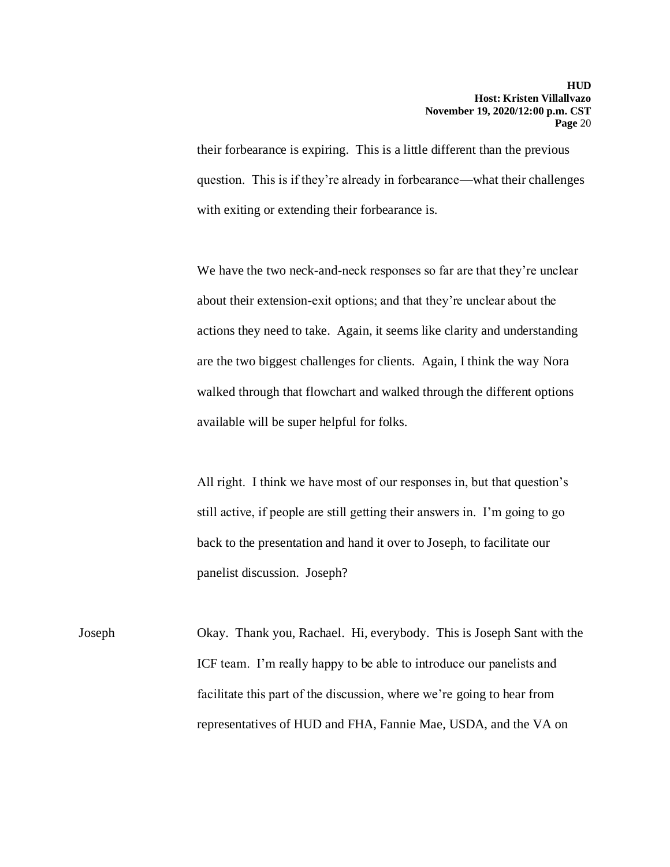their forbearance is expiring. This is a little different than the previous question. This is if they're already in forbearance—what their challenges with exiting or extending their forbearance is.

We have the two neck-and-neck responses so far are that they're unclear about their extension-exit options; and that they're unclear about the actions they need to take. Again, it seems like clarity and understanding are the two biggest challenges for clients. Again, I think the way Nora walked through that flowchart and walked through the different options available will be super helpful for folks.

All right. I think we have most of our responses in, but that question's still active, if people are still getting their answers in. I'm going to go back to the presentation and hand it over to Joseph, to facilitate our panelist discussion. Joseph?

Joseph Okay. Thank you, Rachael. Hi, everybody. This is Joseph Sant with the ICF team. I'm really happy to be able to introduce our panelists and facilitate this part of the discussion, where we're going to hear from representatives of HUD and FHA, Fannie Mae, USDA, and the VA on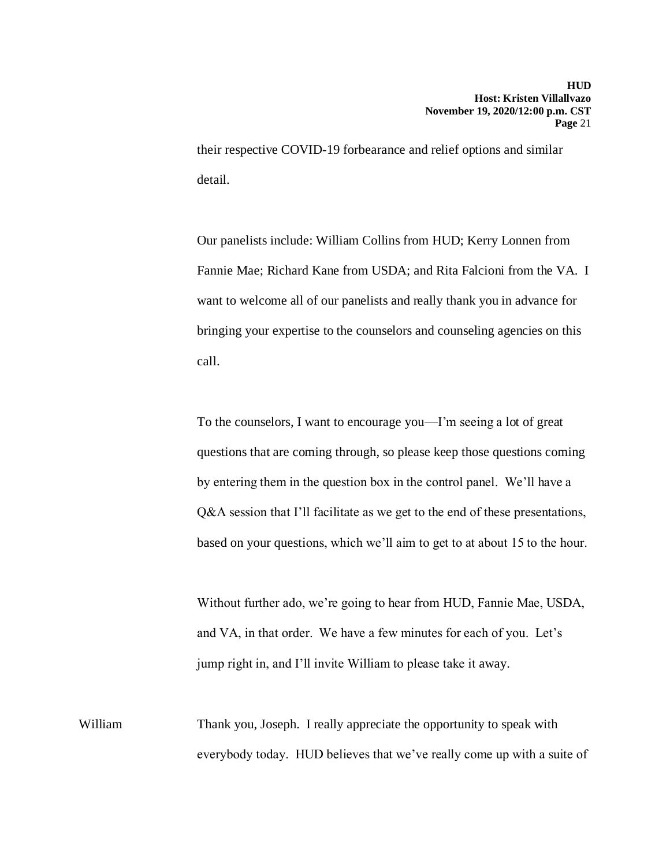their respective COVID-19 forbearance and relief options and similar detail.

Our panelists include: William Collins from HUD; Kerry Lonnen from Fannie Mae; Richard Kane from USDA; and Rita Falcioni from the VA. I want to welcome all of our panelists and really thank you in advance for bringing your expertise to the counselors and counseling agencies on this call.

To the counselors, I want to encourage you—I'm seeing a lot of great questions that are coming through, so please keep those questions coming by entering them in the question box in the control panel. We'll have a Q&A session that I'll facilitate as we get to the end of these presentations, based on your questions, which we'll aim to get to at about 15 to the hour.

Without further ado, we're going to hear from HUD, Fannie Mae, USDA, and VA, in that order. We have a few minutes for each of you. Let's jump right in, and I'll invite William to please take it away.

William Thank you, Joseph. I really appreciate the opportunity to speak with everybody today. HUD believes that we've really come up with a suite of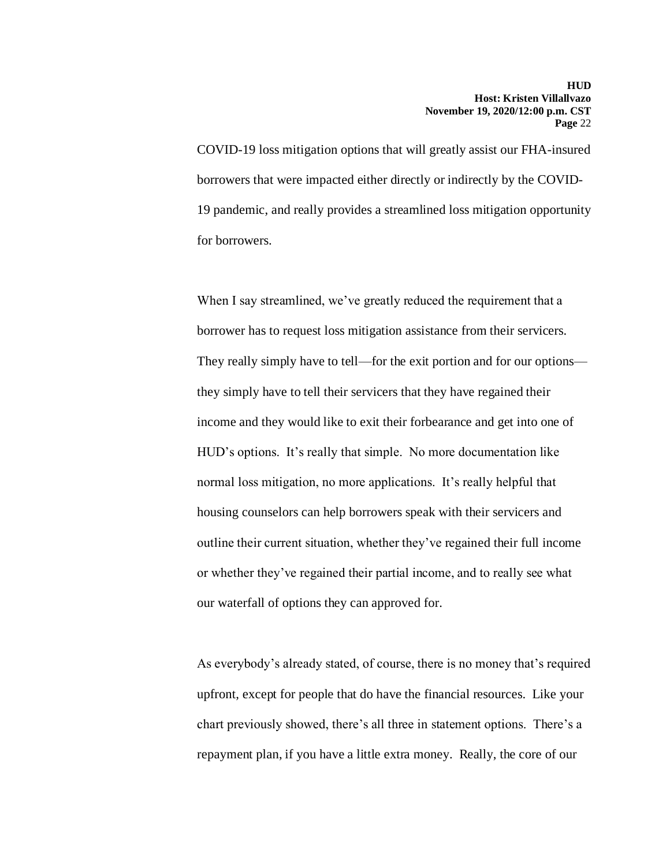COVID-19 loss mitigation options that will greatly assist our FHA-insured borrowers that were impacted either directly or indirectly by the COVID-19 pandemic, and really provides a streamlined loss mitigation opportunity for borrowers.

When I say streamlined, we've greatly reduced the requirement that a borrower has to request loss mitigation assistance from their servicers. They really simply have to tell—for the exit portion and for our options they simply have to tell their servicers that they have regained their income and they would like to exit their forbearance and get into one of HUD's options. It's really that simple. No more documentation like normal loss mitigation, no more applications. It's really helpful that housing counselors can help borrowers speak with their servicers and outline their current situation, whether they've regained their full income or whether they've regained their partial income, and to really see what our waterfall of options they can approved for.

As everybody's already stated, of course, there is no money that's required upfront, except for people that do have the financial resources. Like your chart previously showed, there's all three in statement options. There's a repayment plan, if you have a little extra money. Really, the core of our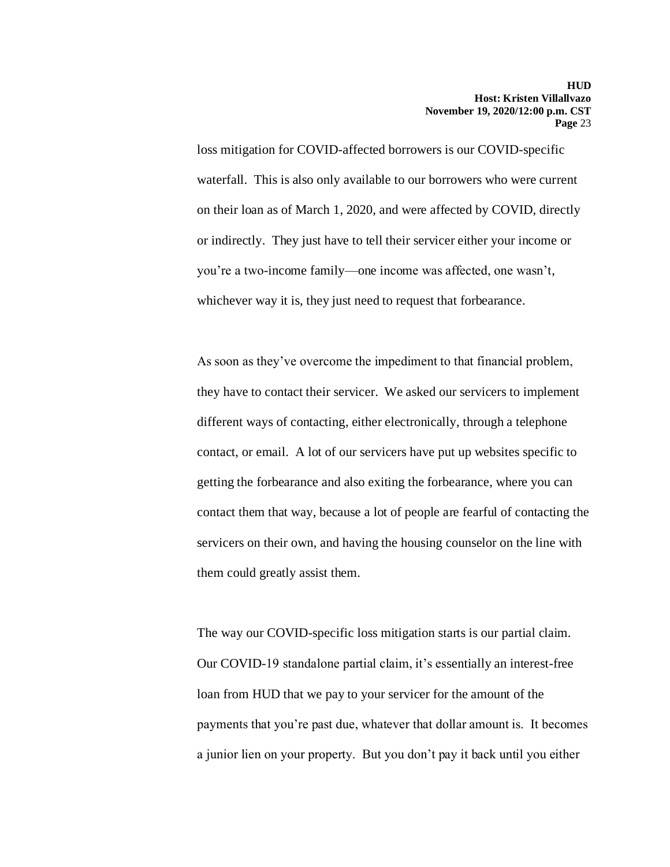loss mitigation for COVID-affected borrowers is our COVID-specific waterfall. This is also only available to our borrowers who were current on their loan as of March 1, 2020, and were affected by COVID, directly or indirectly. They just have to tell their servicer either your income or you're a two-income family—one income was affected, one wasn't, whichever way it is, they just need to request that forbearance.

As soon as they've overcome the impediment to that financial problem, they have to contact their servicer. We asked our servicers to implement different ways of contacting, either electronically, through a telephone contact, or email. A lot of our servicers have put up websites specific to getting the forbearance and also exiting the forbearance, where you can contact them that way, because a lot of people are fearful of contacting the servicers on their own, and having the housing counselor on the line with them could greatly assist them.

The way our COVID-specific loss mitigation starts is our partial claim. Our COVID-19 standalone partial claim, it's essentially an interest-free loan from HUD that we pay to your servicer for the amount of the payments that you're past due, whatever that dollar amount is. It becomes a junior lien on your property. But you don't pay it back until you either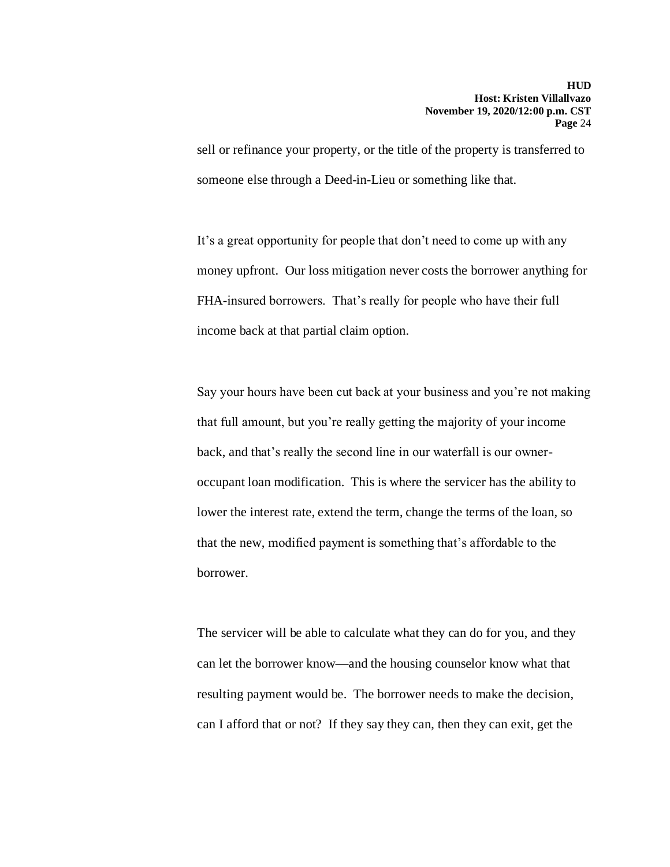sell or refinance your property, or the title of the property is transferred to someone else through a Deed-in-Lieu or something like that.

It's a great opportunity for people that don't need to come up with any money upfront. Our loss mitigation never costs the borrower anything for FHA-insured borrowers. That's really for people who have their full income back at that partial claim option.

Say your hours have been cut back at your business and you're not making that full amount, but you're really getting the majority of your income back, and that's really the second line in our waterfall is our owneroccupant loan modification. This is where the servicer has the ability to lower the interest rate, extend the term, change the terms of the loan, so that the new, modified payment is something that's affordable to the borrower.

The servicer will be able to calculate what they can do for you, and they can let the borrower know—and the housing counselor know what that resulting payment would be. The borrower needs to make the decision, can I afford that or not? If they say they can, then they can exit, get the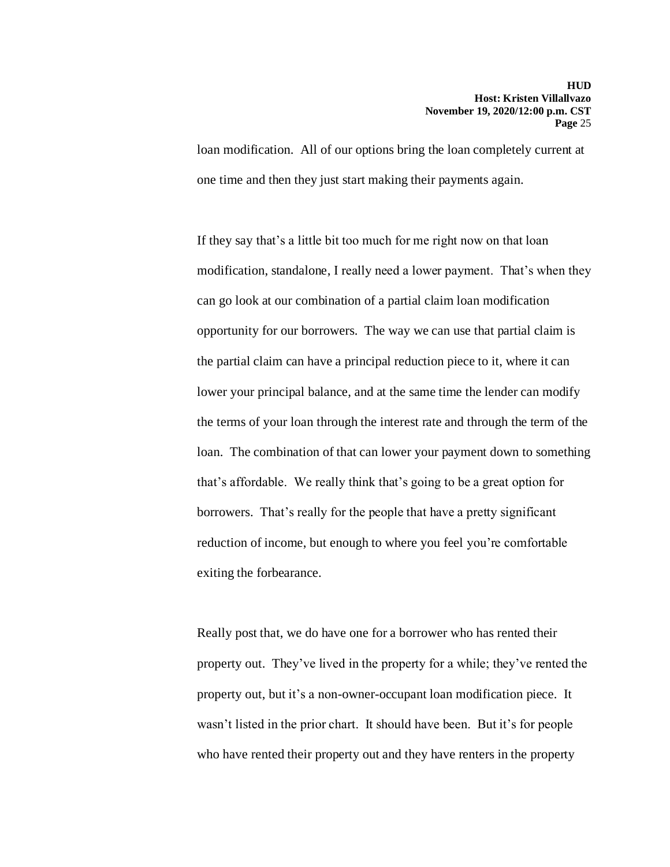loan modification. All of our options bring the loan completely current at one time and then they just start making their payments again.

If they say that's a little bit too much for me right now on that loan modification, standalone, I really need a lower payment. That's when they can go look at our combination of a partial claim loan modification opportunity for our borrowers. The way we can use that partial claim is the partial claim can have a principal reduction piece to it, where it can lower your principal balance, and at the same time the lender can modify the terms of your loan through the interest rate and through the term of the loan. The combination of that can lower your payment down to something that's affordable. We really think that's going to be a great option for borrowers. That's really for the people that have a pretty significant reduction of income, but enough to where you feel you're comfortable exiting the forbearance.

Really post that, we do have one for a borrower who has rented their property out. They've lived in the property for a while; they've rented the property out, but it's a non-owner-occupant loan modification piece. It wasn't listed in the prior chart. It should have been. But it's for people who have rented their property out and they have renters in the property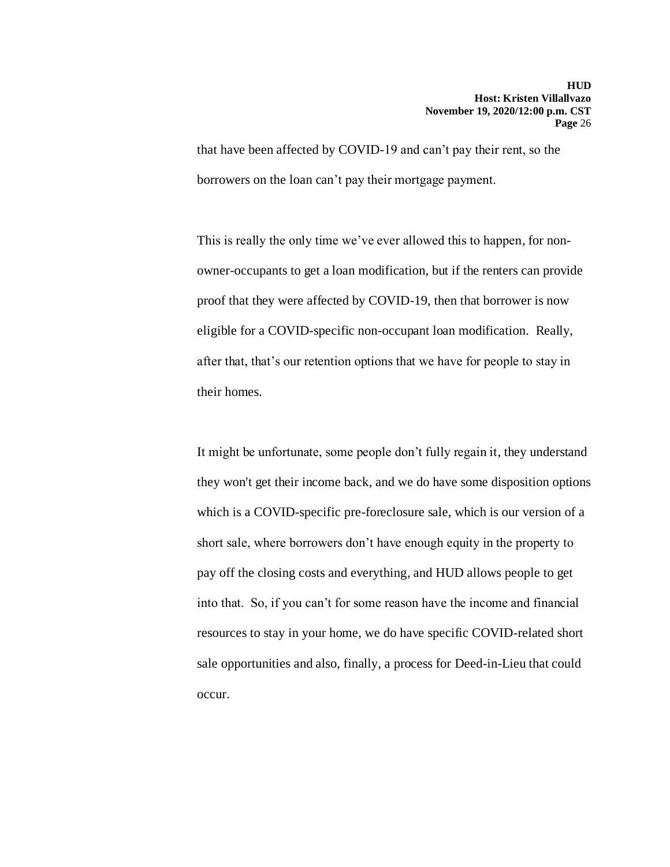that have been affected by COVID-19 and can't pay their rent, so the borrowers on the loan can't pay their mortgage payment.

This is really the only time we've ever allowed this to happen, for nonowner-occupants to get a loan modification, but if the renters can provide proof that they were affected by COVID-19, then that borrower is now eligible for a COVID-specific non-occupant loan modification. Really, after that, that's our retention options that we have for people to stay in their homes.

It might be unfortunate, some people don't fully regain it, they understand they won't get their income back, and we do have some disposition options which is a COVID-specific pre-foreclosure sale, which is our version of a short sale, where borrowers don't have enough equity in the property to pay off the closing costs and everything, and HUD allows people to get into that. So, if you can't for some reason have the income and financial resources to stay in your home, we do have specific COVID-related short sale opportunities and also, finally, a process for Deed-in-Lieu that could occur.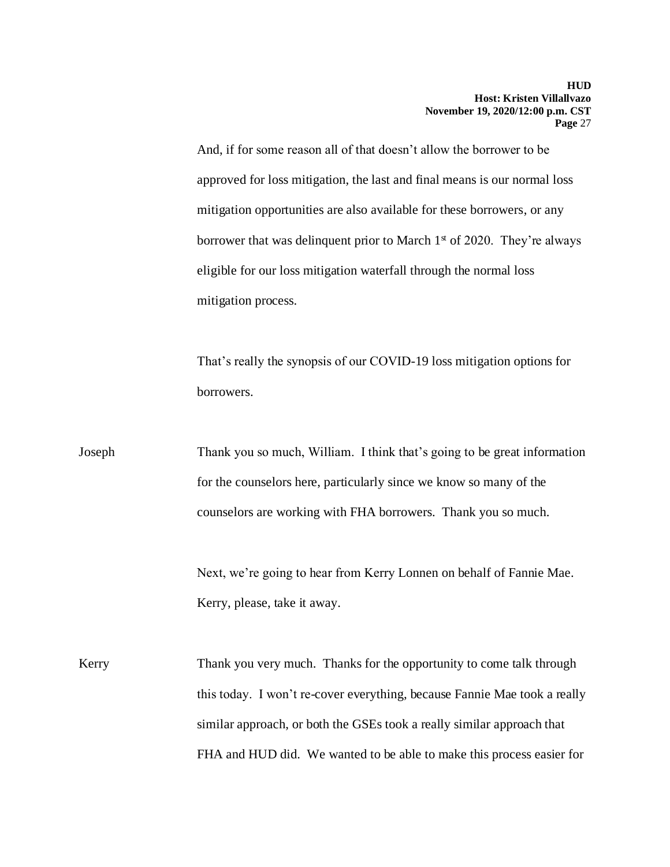And, if for some reason all of that doesn't allow the borrower to be approved for loss mitigation, the last and final means is our normal loss mitigation opportunities are also available for these borrowers, or any borrower that was delinquent prior to March  $1<sup>st</sup>$  of 2020. They're always eligible for our loss mitigation waterfall through the normal loss mitigation process.

That's really the synopsis of our COVID-19 loss mitigation options for borrowers.

Joseph Thank you so much, William. I think that's going to be great information for the counselors here, particularly since we know so many of the counselors are working with FHA borrowers. Thank you so much.

> Next, we're going to hear from Kerry Lonnen on behalf of Fannie Mae. Kerry, please, take it away.

Kerry Thank you very much. Thanks for the opportunity to come talk through this today. I won't re-cover everything, because Fannie Mae took a really similar approach, or both the GSEs took a really similar approach that FHA and HUD did. We wanted to be able to make this process easier for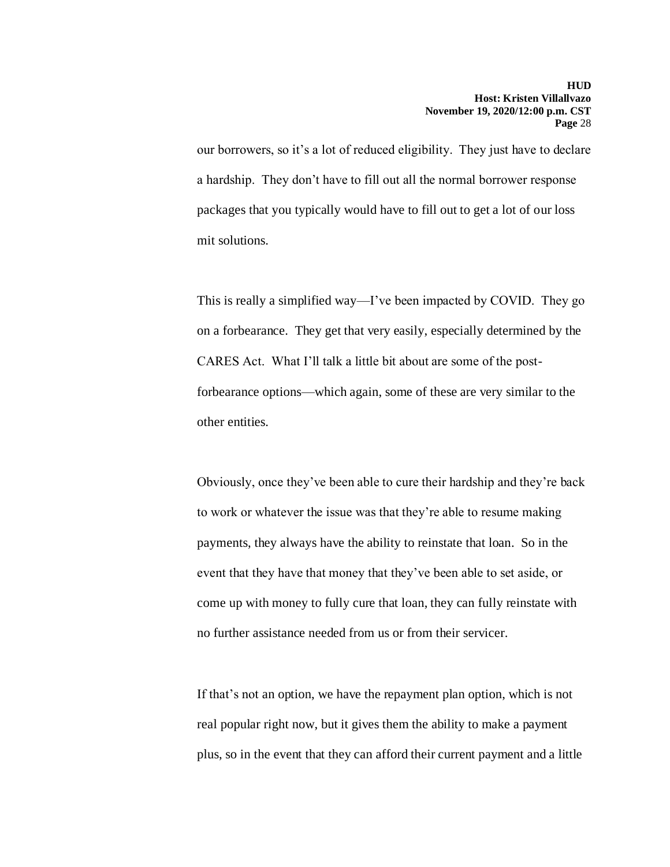our borrowers, so it's a lot of reduced eligibility. They just have to declare a hardship. They don't have to fill out all the normal borrower response packages that you typically would have to fill out to get a lot of our loss mit solutions.

This is really a simplified way—I've been impacted by COVID. They go on a forbearance. They get that very easily, especially determined by the CARES Act. What I'll talk a little bit about are some of the postforbearance options—which again, some of these are very similar to the other entities.

Obviously, once they've been able to cure their hardship and they're back to work or whatever the issue was that they're able to resume making payments, they always have the ability to reinstate that loan. So in the event that they have that money that they've been able to set aside, or come up with money to fully cure that loan, they can fully reinstate with no further assistance needed from us or from their servicer.

If that's not an option, we have the repayment plan option, which is not real popular right now, but it gives them the ability to make a payment plus, so in the event that they can afford their current payment and a little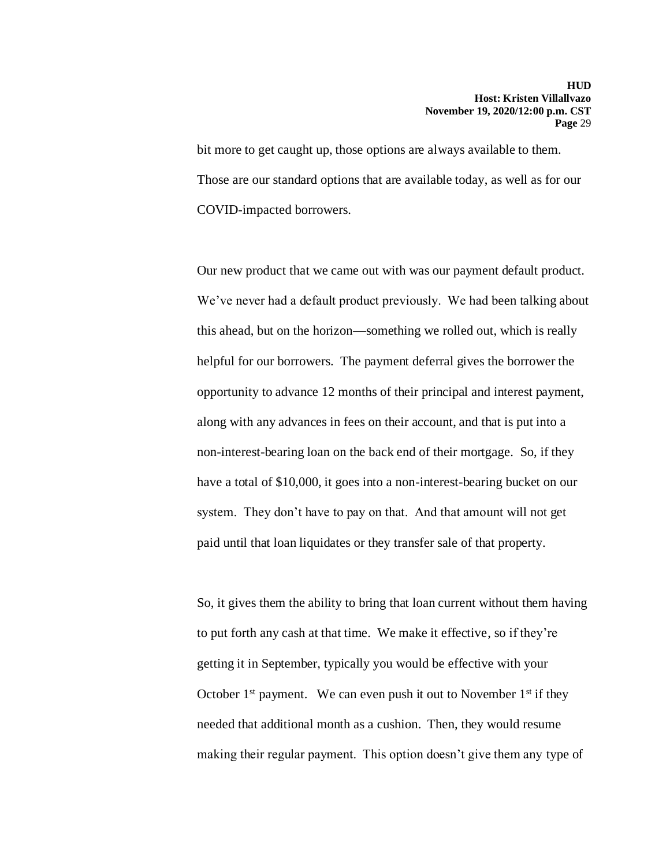bit more to get caught up, those options are always available to them. Those are our standard options that are available today, as well as for our COVID-impacted borrowers.

Our new product that we came out with was our payment default product. We've never had a default product previously. We had been talking about this ahead, but on the horizon—something we rolled out, which is really helpful for our borrowers. The payment deferral gives the borrower the opportunity to advance 12 months of their principal and interest payment, along with any advances in fees on their account, and that is put into a non-interest-bearing loan on the back end of their mortgage. So, if they have a total of \$10,000, it goes into a non-interest-bearing bucket on our system. They don't have to pay on that. And that amount will not get paid until that loan liquidates or they transfer sale of that property.

So, it gives them the ability to bring that loan current without them having to put forth any cash at that time. We make it effective, so if they're getting it in September, typically you would be effective with your October  $1<sup>st</sup>$  payment. We can even push it out to November  $1<sup>st</sup>$  if they needed that additional month as a cushion. Then, they would resume making their regular payment. This option doesn't give them any type of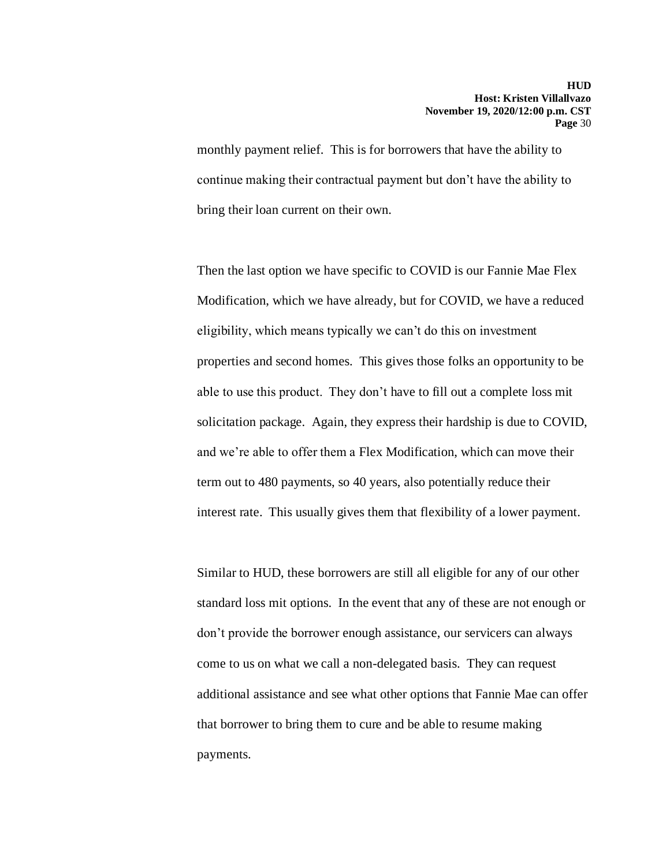monthly payment relief. This is for borrowers that have the ability to continue making their contractual payment but don't have the ability to bring their loan current on their own.

Then the last option we have specific to COVID is our Fannie Mae Flex Modification, which we have already, but for COVID, we have a reduced eligibility, which means typically we can't do this on investment properties and second homes. This gives those folks an opportunity to be able to use this product. They don't have to fill out a complete loss mit solicitation package. Again, they express their hardship is due to COVID, and we're able to offer them a Flex Modification, which can move their term out to 480 payments, so 40 years, also potentially reduce their interest rate. This usually gives them that flexibility of a lower payment.

Similar to HUD, these borrowers are still all eligible for any of our other standard loss mit options. In the event that any of these are not enough or don't provide the borrower enough assistance, our servicers can always come to us on what we call a non-delegated basis. They can request additional assistance and see what other options that Fannie Mae can offer that borrower to bring them to cure and be able to resume making payments.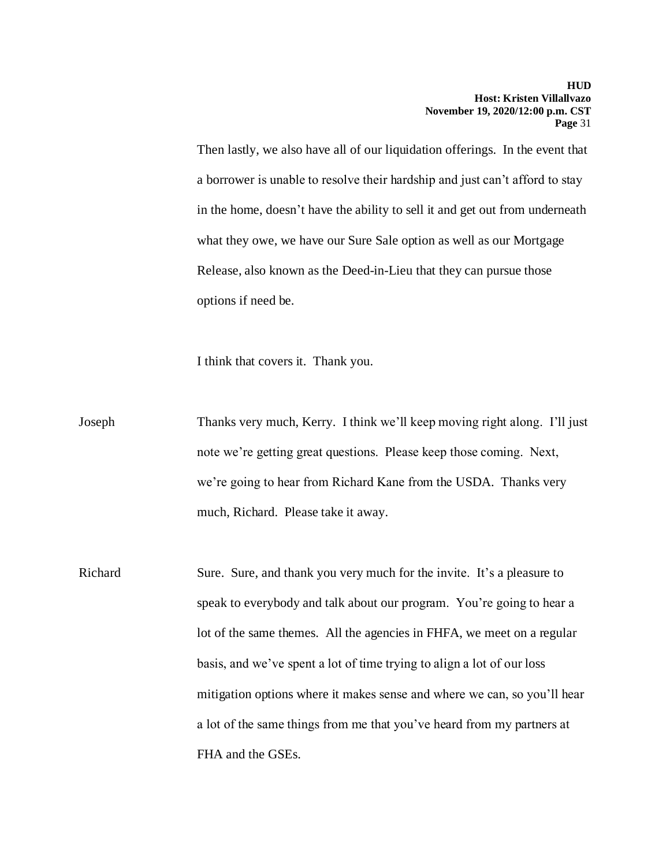Then lastly, we also have all of our liquidation offerings. In the event that a borrower is unable to resolve their hardship and just can't afford to stay in the home, doesn't have the ability to sell it and get out from underneath what they owe, we have our Sure Sale option as well as our Mortgage Release, also known as the Deed-in-Lieu that they can pursue those options if need be.

I think that covers it. Thank you.

Joseph Thanks very much, Kerry. I think we'll keep moving right along. I'll just note we're getting great questions. Please keep those coming. Next, we're going to hear from Richard Kane from the USDA. Thanks very much, Richard. Please take it away.

Richard Sure. Sure, and thank you very much for the invite. It's a pleasure to speak to everybody and talk about our program. You're going to hear a lot of the same themes. All the agencies in FHFA, we meet on a regular basis, and we've spent a lot of time trying to align a lot of our loss mitigation options where it makes sense and where we can, so you'll hear a lot of the same things from me that you've heard from my partners at FHA and the GSEs.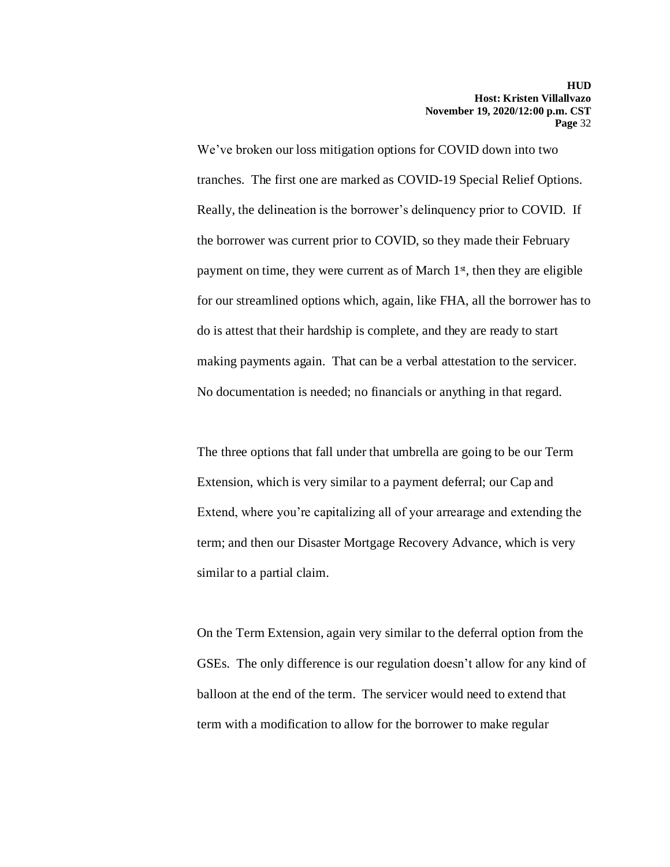We've broken our loss mitigation options for COVID down into two tranches. The first one are marked as COVID-19 Special Relief Options. Really, the delineation is the borrower's delinquency prior to COVID. If the borrower was current prior to COVID, so they made their February payment on time, they were current as of March  $1<sup>{st}</sup>$ , then they are eligible for our streamlined options which, again, like FHA, all the borrower has to do is attest that their hardship is complete, and they are ready to start making payments again. That can be a verbal attestation to the servicer. No documentation is needed; no financials or anything in that regard.

The three options that fall under that umbrella are going to be our Term Extension, which is very similar to a payment deferral; our Cap and Extend, where you're capitalizing all of your arrearage and extending the term; and then our Disaster Mortgage Recovery Advance, which is very similar to a partial claim.

On the Term Extension, again very similar to the deferral option from the GSEs. The only difference is our regulation doesn't allow for any kind of balloon at the end of the term. The servicer would need to extend that term with a modification to allow for the borrower to make regular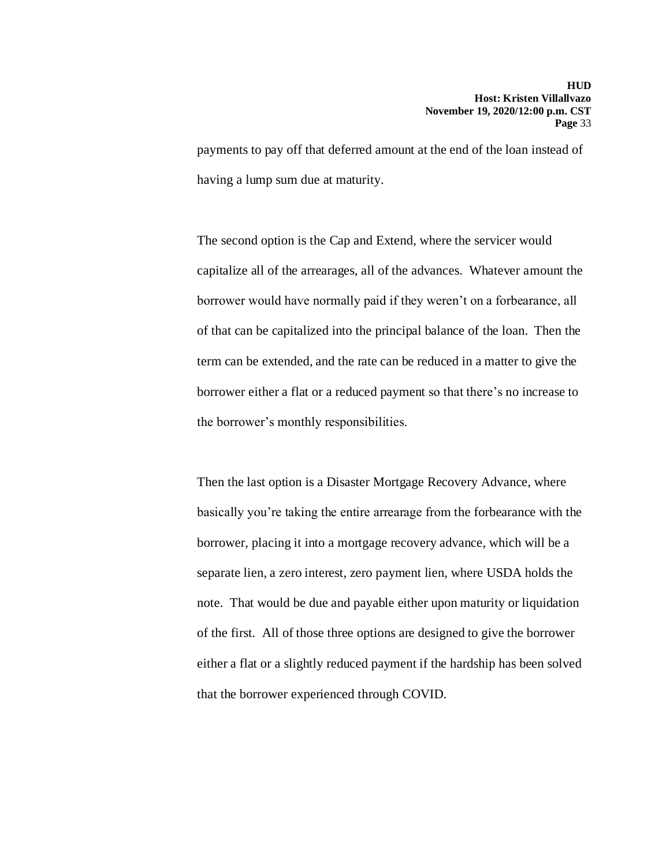payments to pay off that deferred amount at the end of the loan instead of having a lump sum due at maturity.

The second option is the Cap and Extend, where the servicer would capitalize all of the arrearages, all of the advances. Whatever amount the borrower would have normally paid if they weren't on a forbearance, all of that can be capitalized into the principal balance of the loan. Then the term can be extended, and the rate can be reduced in a matter to give the borrower either a flat or a reduced payment so that there's no increase to the borrower's monthly responsibilities.

Then the last option is a Disaster Mortgage Recovery Advance, where basically you're taking the entire arrearage from the forbearance with the borrower, placing it into a mortgage recovery advance, which will be a separate lien, a zero interest, zero payment lien, where USDA holds the note. That would be due and payable either upon maturity or liquidation of the first. All of those three options are designed to give the borrower either a flat or a slightly reduced payment if the hardship has been solved that the borrower experienced through COVID.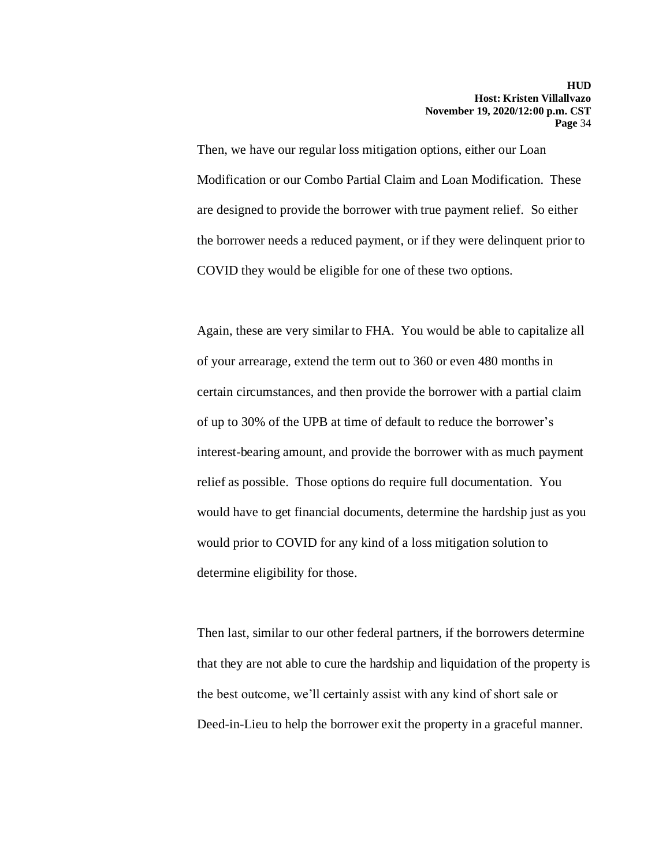Then, we have our regular loss mitigation options, either our Loan Modification or our Combo Partial Claim and Loan Modification. These are designed to provide the borrower with true payment relief. So either the borrower needs a reduced payment, or if they were delinquent prior to COVID they would be eligible for one of these two options.

Again, these are very similar to FHA. You would be able to capitalize all of your arrearage, extend the term out to 360 or even 480 months in certain circumstances, and then provide the borrower with a partial claim of up to 30% of the UPB at time of default to reduce the borrower's interest-bearing amount, and provide the borrower with as much payment relief as possible. Those options do require full documentation. You would have to get financial documents, determine the hardship just as you would prior to COVID for any kind of a loss mitigation solution to determine eligibility for those.

Then last, similar to our other federal partners, if the borrowers determine that they are not able to cure the hardship and liquidation of the property is the best outcome, we'll certainly assist with any kind of short sale or Deed-in-Lieu to help the borrower exit the property in a graceful manner.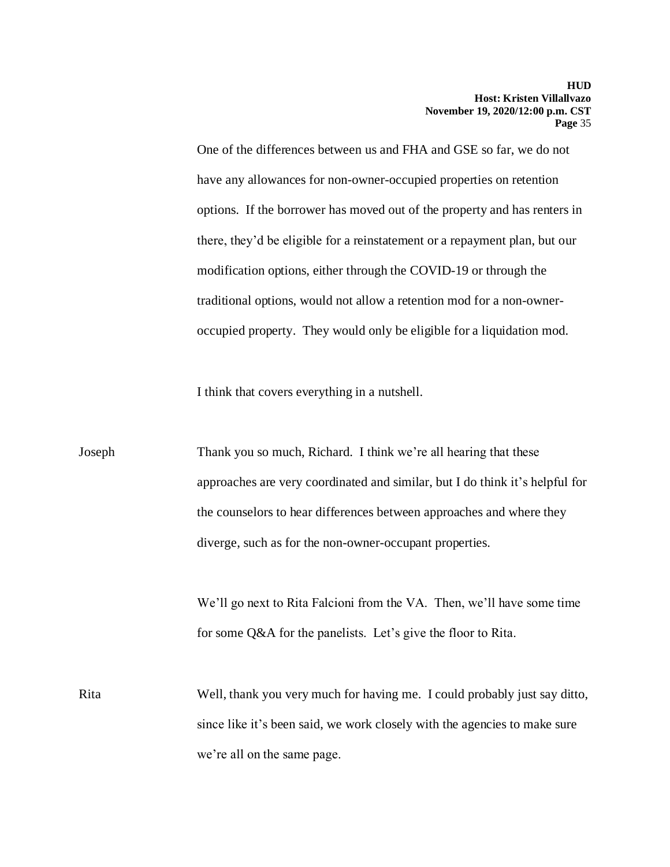One of the differences between us and FHA and GSE so far, we do not have any allowances for non-owner-occupied properties on retention options. If the borrower has moved out of the property and has renters in there, they'd be eligible for a reinstatement or a repayment plan, but our modification options, either through the COVID-19 or through the traditional options, would not allow a retention mod for a non-owneroccupied property. They would only be eligible for a liquidation mod.

I think that covers everything in a nutshell.

Joseph Thank you so much, Richard. I think we're all hearing that these approaches are very coordinated and similar, but I do think it's helpful for the counselors to hear differences between approaches and where they diverge, such as for the non-owner-occupant properties.

> We'll go next to Rita Falcioni from the VA. Then, we'll have some time for some Q&A for the panelists. Let's give the floor to Rita.

Rita Well, thank you very much for having me. I could probably just say ditto, since like it's been said, we work closely with the agencies to make sure we're all on the same page.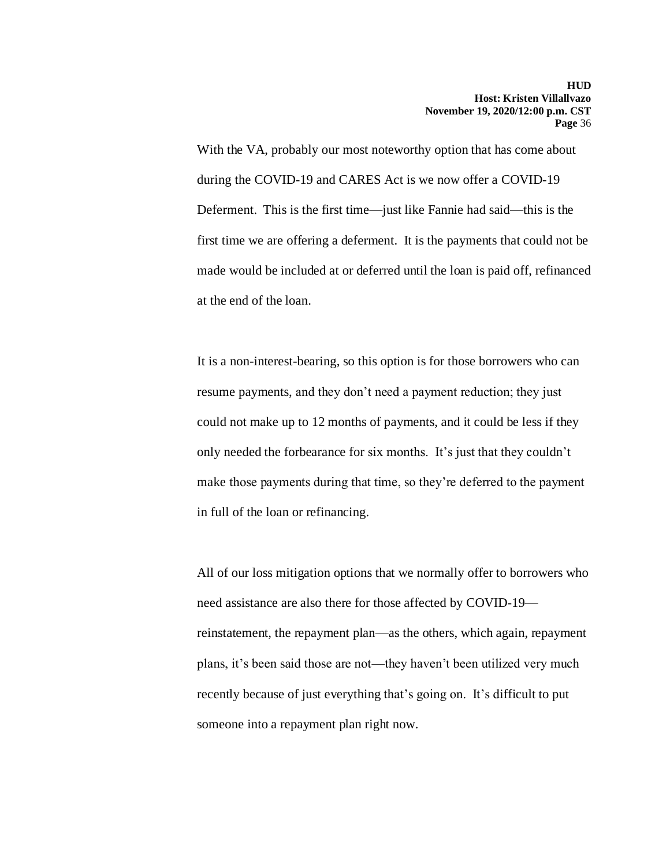With the VA, probably our most noteworthy option that has come about during the COVID-19 and CARES Act is we now offer a COVID-19 Deferment. This is the first time—just like Fannie had said—this is the first time we are offering a deferment. It is the payments that could not be made would be included at or deferred until the loan is paid off, refinanced at the end of the loan.

It is a non-interest-bearing, so this option is for those borrowers who can resume payments, and they don't need a payment reduction; they just could not make up to 12 months of payments, and it could be less if they only needed the forbearance for six months. It's just that they couldn't make those payments during that time, so they're deferred to the payment in full of the loan or refinancing.

All of our loss mitigation options that we normally offer to borrowers who need assistance are also there for those affected by COVID-19 reinstatement, the repayment plan—as the others, which again, repayment plans, it's been said those are not—they haven't been utilized very much recently because of just everything that's going on. It's difficult to put someone into a repayment plan right now.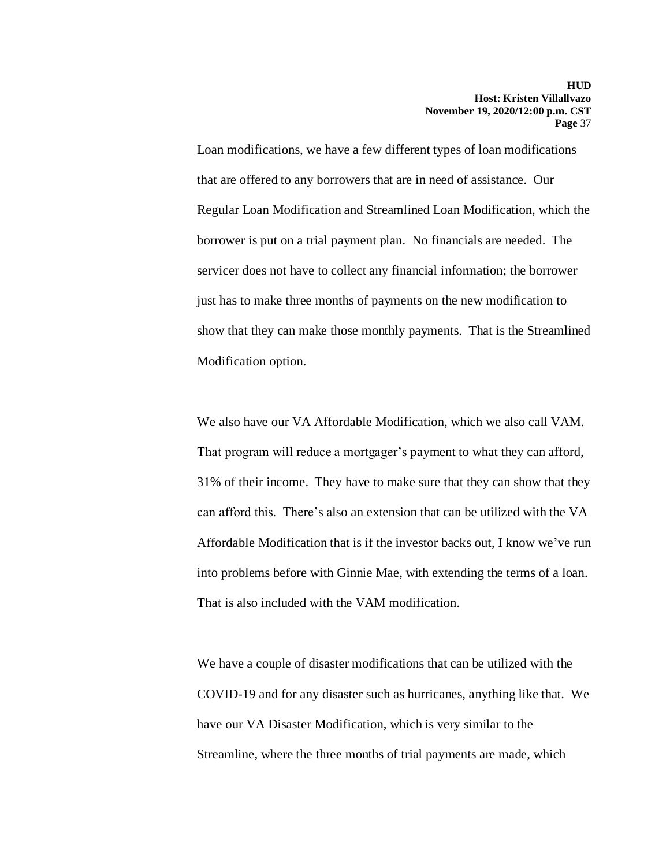Loan modifications, we have a few different types of loan modifications that are offered to any borrowers that are in need of assistance. Our Regular Loan Modification and Streamlined Loan Modification, which the borrower is put on a trial payment plan. No financials are needed. The servicer does not have to collect any financial information; the borrower just has to make three months of payments on the new modification to show that they can make those monthly payments. That is the Streamlined Modification option.

We also have our VA Affordable Modification, which we also call VAM. That program will reduce a mortgager's payment to what they can afford, 31% of their income. They have to make sure that they can show that they can afford this. There's also an extension that can be utilized with the VA Affordable Modification that is if the investor backs out, I know we've run into problems before with Ginnie Mae, with extending the terms of a loan. That is also included with the VAM modification.

We have a couple of disaster modifications that can be utilized with the COVID-19 and for any disaster such as hurricanes, anything like that. We have our VA Disaster Modification, which is very similar to the Streamline, where the three months of trial payments are made, which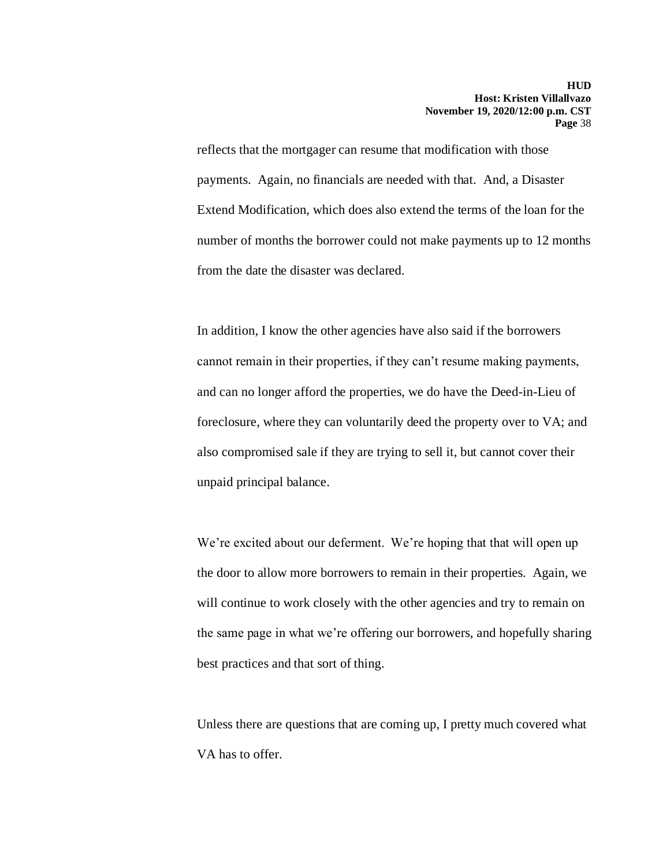reflects that the mortgager can resume that modification with those payments. Again, no financials are needed with that. And, a Disaster Extend Modification, which does also extend the terms of the loan for the number of months the borrower could not make payments up to 12 months from the date the disaster was declared.

In addition, I know the other agencies have also said if the borrowers cannot remain in their properties, if they can't resume making payments, and can no longer afford the properties, we do have the Deed-in-Lieu of foreclosure, where they can voluntarily deed the property over to VA; and also compromised sale if they are trying to sell it, but cannot cover their unpaid principal balance.

We're excited about our deferment. We're hoping that that will open up the door to allow more borrowers to remain in their properties. Again, we will continue to work closely with the other agencies and try to remain on the same page in what we're offering our borrowers, and hopefully sharing best practices and that sort of thing.

Unless there are questions that are coming up, I pretty much covered what VA has to offer.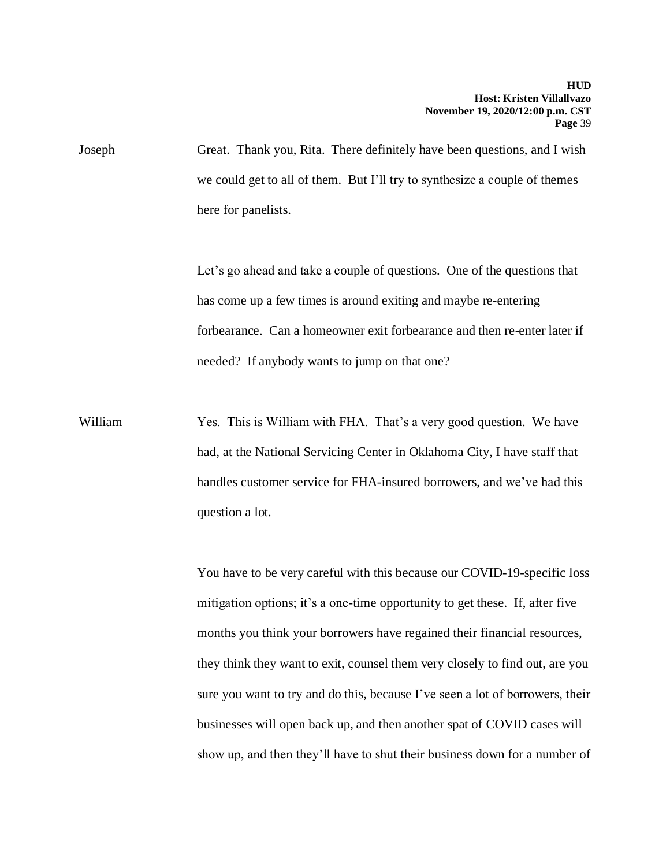Joseph Great. Thank you, Rita. There definitely have been questions, and I wish we could get to all of them. But I'll try to synthesize a couple of themes here for panelists.

> Let's go ahead and take a couple of questions. One of the questions that has come up a few times is around exiting and maybe re-entering forbearance. Can a homeowner exit forbearance and then re-enter later if needed? If anybody wants to jump on that one?

William Yes. This is William with FHA. That's a very good question. We have had, at the National Servicing Center in Oklahoma City, I have staff that handles customer service for FHA-insured borrowers, and we've had this question a lot.

> You have to be very careful with this because our COVID-19-specific loss mitigation options; it's a one-time opportunity to get these. If, after five months you think your borrowers have regained their financial resources, they think they want to exit, counsel them very closely to find out, are you sure you want to try and do this, because I've seen a lot of borrowers, their businesses will open back up, and then another spat of COVID cases will show up, and then they'll have to shut their business down for a number of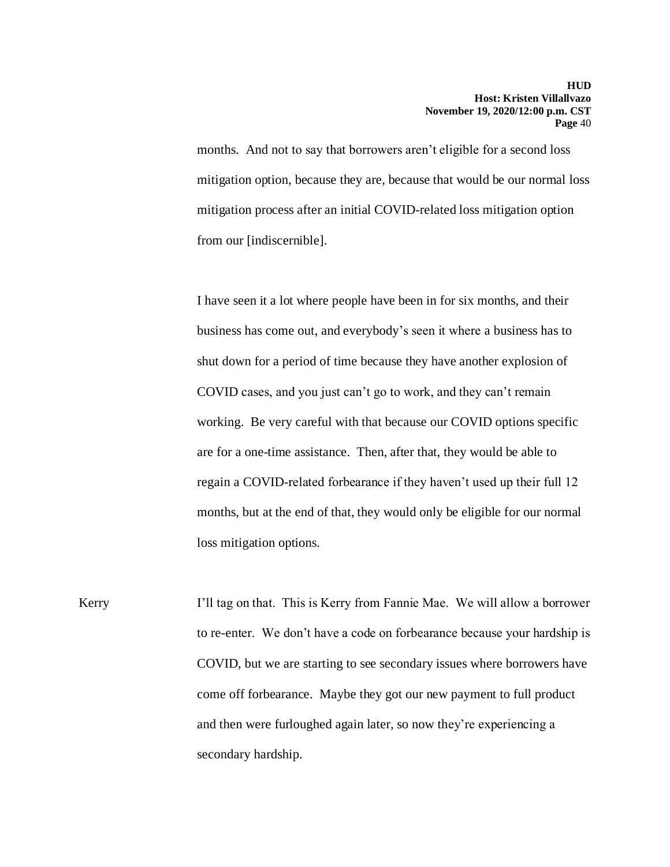months. And not to say that borrowers aren't eligible for a second loss mitigation option, because they are, because that would be our normal loss mitigation process after an initial COVID-related loss mitigation option from our [indiscernible].

I have seen it a lot where people have been in for six months, and their business has come out, and everybody's seen it where a business has to shut down for a period of time because they have another explosion of COVID cases, and you just can't go to work, and they can't remain working. Be very careful with that because our COVID options specific are for a one-time assistance. Then, after that, they would be able to regain a COVID-related forbearance if they haven't used up their full 12 months, but at the end of that, they would only be eligible for our normal loss mitigation options.

Kerry **I'll tag on that.** This is Kerry from Fannie Mae. We will allow a borrower to re-enter. We don't have a code on forbearance because your hardship is COVID, but we are starting to see secondary issues where borrowers have come off forbearance. Maybe they got our new payment to full product and then were furloughed again later, so now they're experiencing a secondary hardship.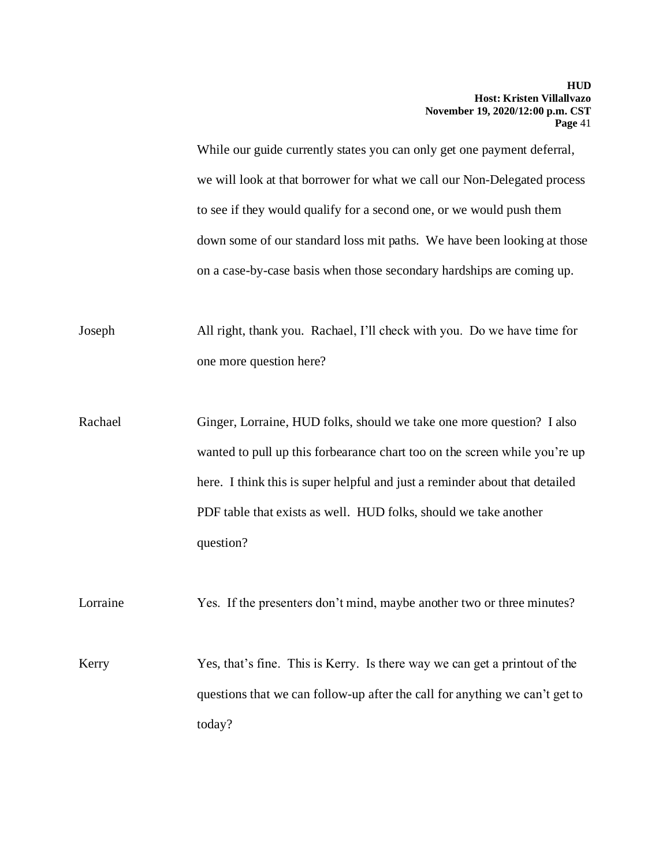While our guide currently states you can only get one payment deferral, we will look at that borrower for what we call our Non-Delegated process to see if they would qualify for a second one, or we would push them down some of our standard loss mit paths. We have been looking at those on a case-by-case basis when those secondary hardships are coming up.

Joseph All right, thank you. Rachael, I'll check with you. Do we have time for one more question here?

Rachael Ginger, Lorraine, HUD folks, should we take one more question? I also wanted to pull up this forbearance chart too on the screen while you're up here. I think this is super helpful and just a reminder about that detailed PDF table that exists as well. HUD folks, should we take another question?

Lorraine Yes. If the presenters don't mind, maybe another two or three minutes?

Kerry Yes, that's fine. This is Kerry. Is there way we can get a printout of the questions that we can follow-up after the call for anything we can't get to today?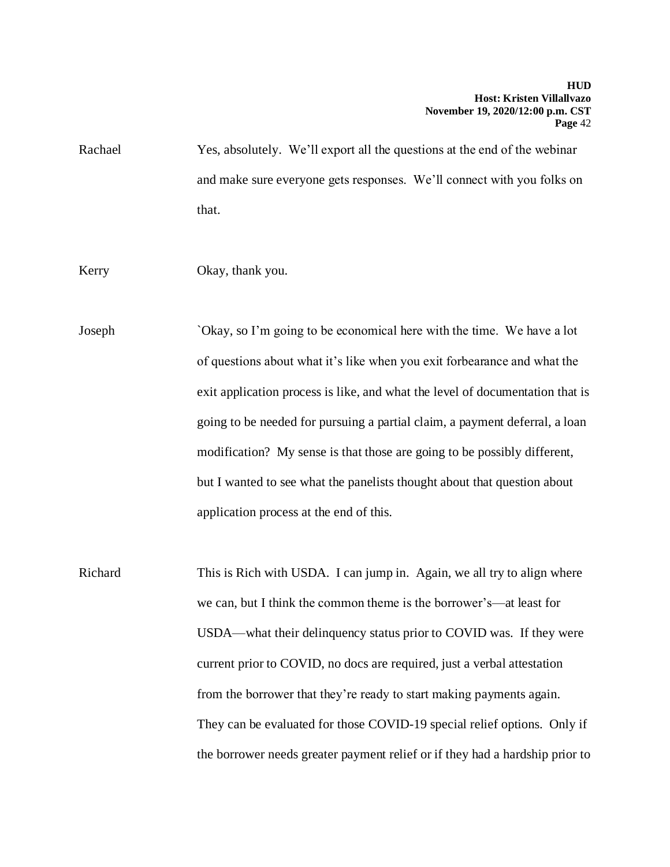Rachael Yes, absolutely. We'll export all the questions at the end of the webinar and make sure everyone gets responses. We'll connect with you folks on that.

Kerry Okay, thank you.

Joseph `Okay, so I'm going to be economical here with the time. We have a lot of questions about what it's like when you exit forbearance and what the exit application process is like, and what the level of documentation that is going to be needed for pursuing a partial claim, a payment deferral, a loan modification? My sense is that those are going to be possibly different, but I wanted to see what the panelists thought about that question about application process at the end of this.

Richard This is Rich with USDA. I can jump in. Again, we all try to align where we can, but I think the common theme is the borrower's—at least for USDA—what their delinquency status prior to COVID was. If they were current prior to COVID, no docs are required, just a verbal attestation from the borrower that they're ready to start making payments again. They can be evaluated for those COVID-19 special relief options. Only if the borrower needs greater payment relief or if they had a hardship prior to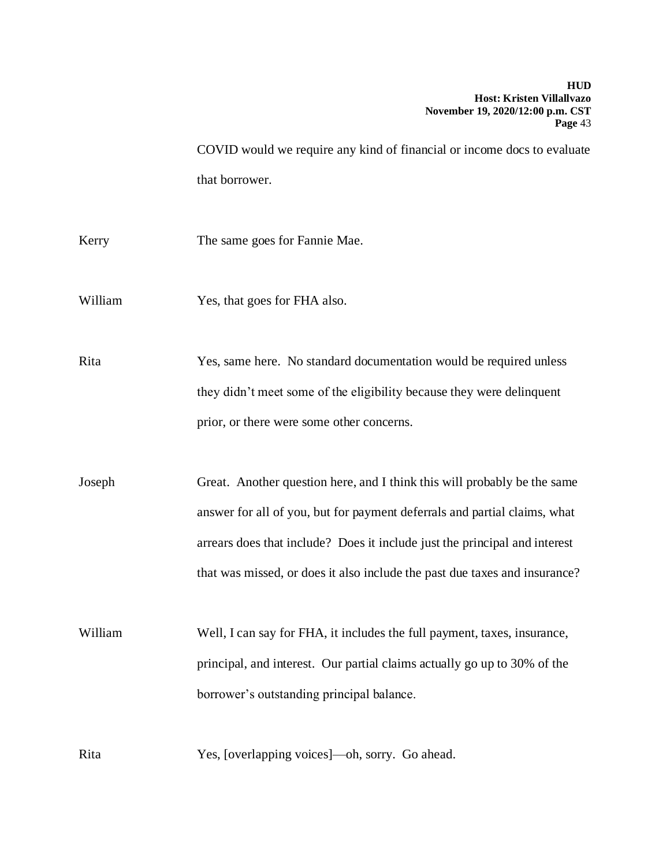COVID would we require any kind of financial or income docs to evaluate that borrower.

Kerry The same goes for Fannie Mae.

William Yes, that goes for FHA also.

Rita Yes, same here. No standard documentation would be required unless they didn't meet some of the eligibility because they were delinquent prior, or there were some other concerns.

Joseph Great. Another question here, and I think this will probably be the same answer for all of you, but for payment deferrals and partial claims, what arrears does that include? Does it include just the principal and interest that was missed, or does it also include the past due taxes and insurance?

William Well, I can say for FHA, it includes the full payment, taxes, insurance, principal, and interest. Our partial claims actually go up to 30% of the borrower's outstanding principal balance.

Rita Yes, [overlapping voices]—oh, sorry. Go ahead.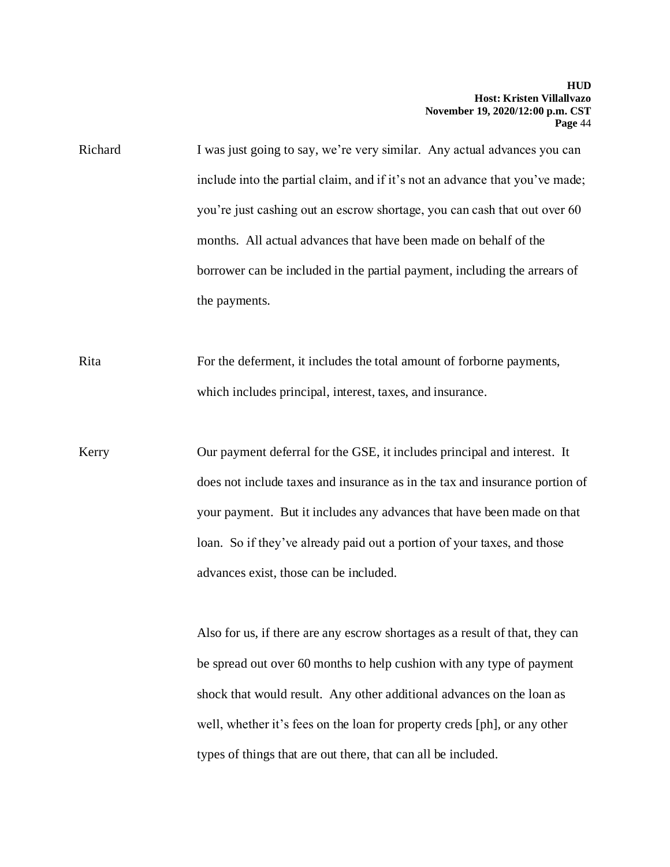Richard I was just going to say, we're very similar. Any actual advances you can include into the partial claim, and if it's not an advance that you've made; you're just cashing out an escrow shortage, you can cash that out over 60 months. All actual advances that have been made on behalf of the borrower can be included in the partial payment, including the arrears of the payments.

Rita For the deferment, it includes the total amount of forborne payments, which includes principal, interest, taxes, and insurance.

Kerry Our payment deferral for the GSE, it includes principal and interest. It does not include taxes and insurance as in the tax and insurance portion of your payment. But it includes any advances that have been made on that loan. So if they've already paid out a portion of your taxes, and those advances exist, those can be included.

> Also for us, if there are any escrow shortages as a result of that, they can be spread out over 60 months to help cushion with any type of payment shock that would result. Any other additional advances on the loan as well, whether it's fees on the loan for property creds [ph], or any other types of things that are out there, that can all be included.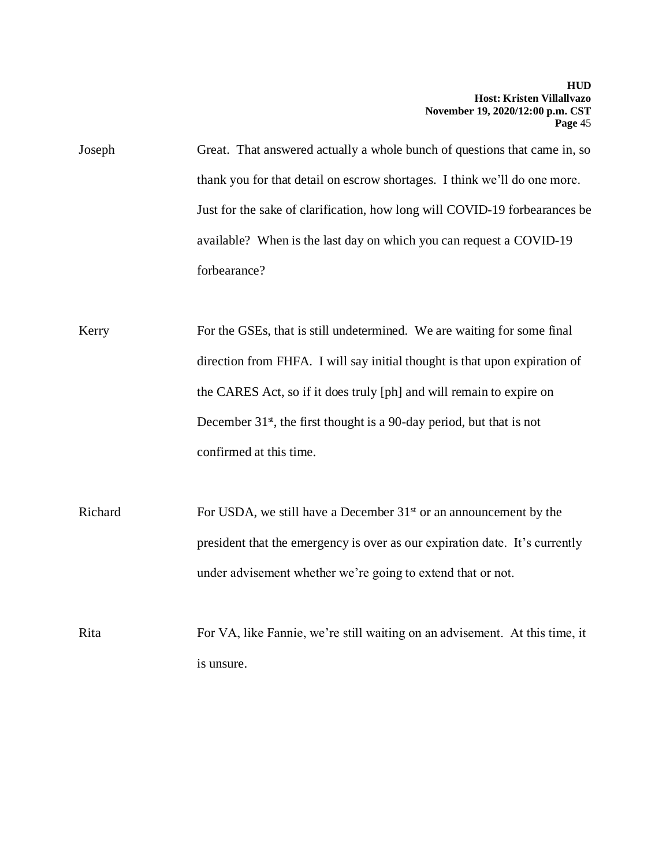Joseph Great. That answered actually a whole bunch of questions that came in, so thank you for that detail on escrow shortages. I think we'll do one more. Just for the sake of clarification, how long will COVID-19 forbearances be available? When is the last day on which you can request a COVID-19 forbearance?

Kerry For the GSEs, that is still undetermined. We are waiting for some final direction from FHFA. I will say initial thought is that upon expiration of the CARES Act, so if it does truly [ph] and will remain to expire on December  $31<sup>st</sup>$ , the first thought is a 90-day period, but that is not confirmed at this time.

Richard For USDA, we still have a December 31<sup>st</sup> or an announcement by the president that the emergency is over as our expiration date. It's currently under advisement whether we're going to extend that or not.

Rita For VA, like Fannie, we're still waiting on an advisement. At this time, it is unsure.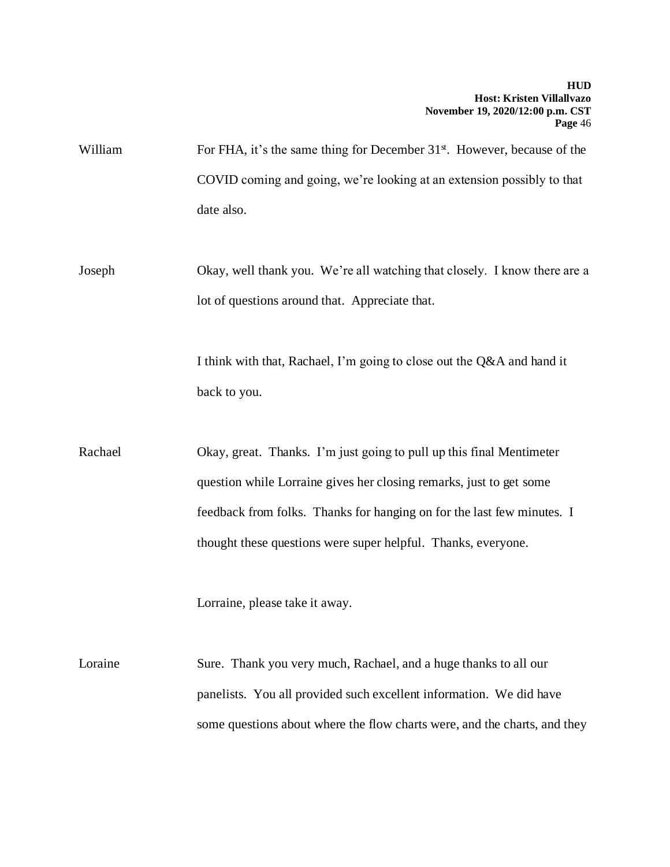William For FHA, it's the same thing for December 31<sup>st</sup>. However, because of the COVID coming and going, we're looking at an extension possibly to that date also.

Joseph Okay, well thank you. We're all watching that closely. I know there are a lot of questions around that. Appreciate that.

> I think with that, Rachael, I'm going to close out the Q&A and hand it back to you.

Rachael Okay, great. Thanks. I'm just going to pull up this final Mentimeter question while Lorraine gives her closing remarks, just to get some feedback from folks. Thanks for hanging on for the last few minutes. I thought these questions were super helpful. Thanks, everyone.

Lorraine, please take it away.

Loraine Sure. Thank you very much, Rachael, and a huge thanks to all our panelists. You all provided such excellent information. We did have some questions about where the flow charts were, and the charts, and they